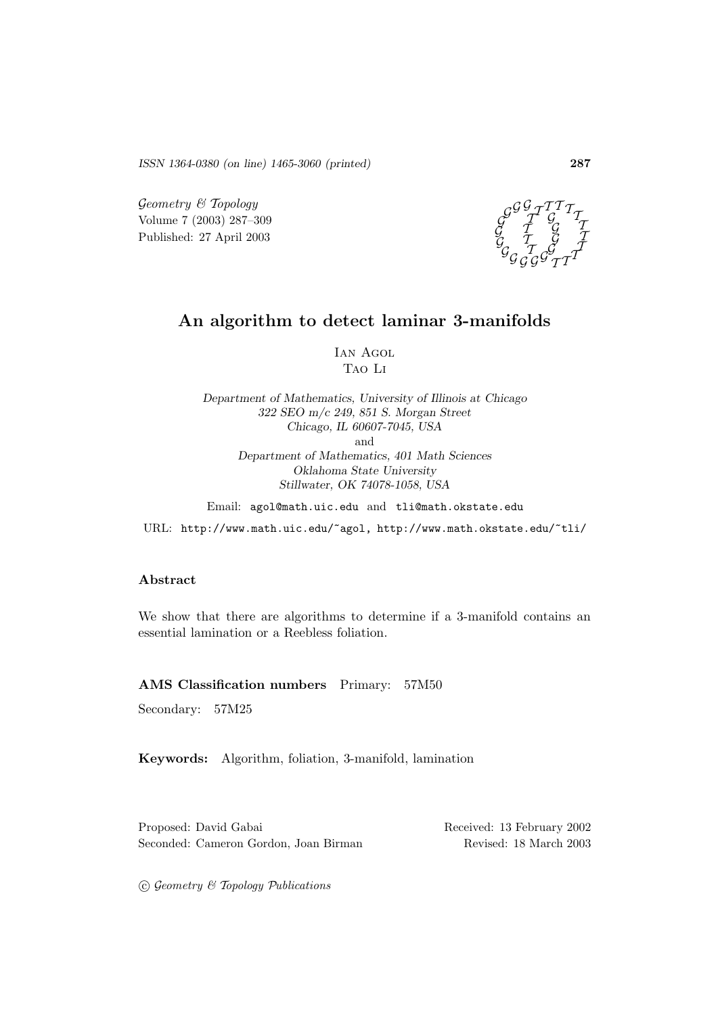*ISSN 1364-0380 (on line) 1465-3060 (printed)* **287**

 $Geometry \& Topology$ Volume 7 (2003) 287–309 Published: 27 April 2003



# **An algorithm to detect laminar 3-manifolds**

Ian Agol Tao Li

*Department of Mathematics, University of Illinois at Chicago 322 SEO m/c 249, 851 S. Morgan Street Chicago, IL 60607-7045, USA* and *Department of Mathematics, 401 Math Sciences Oklahoma State University Stillwater, OK 74078-1058, USA*

Email: agol@math.uic.edu and tli@math.okstate.edu

URL: http://www.math.uic.edu/~agol, http://www.math.okstate.edu/~tli/

#### **Abstract**

We show that there are algorithms to determine if a 3-manifold contains an essential lamination or a Reebless foliation.

#### **AMS Classification numbers** Primary: 57M50

Secondary: 57M25

**Keywords:** Algorithm, foliation, 3-manifold, lamination

Proposed: David Gabai Received: 13 February 2002 Seconded: Cameron Gordon, Joan Birman Revised: 18 March 2003

 $C$  Geometry  $C$  Topology Publications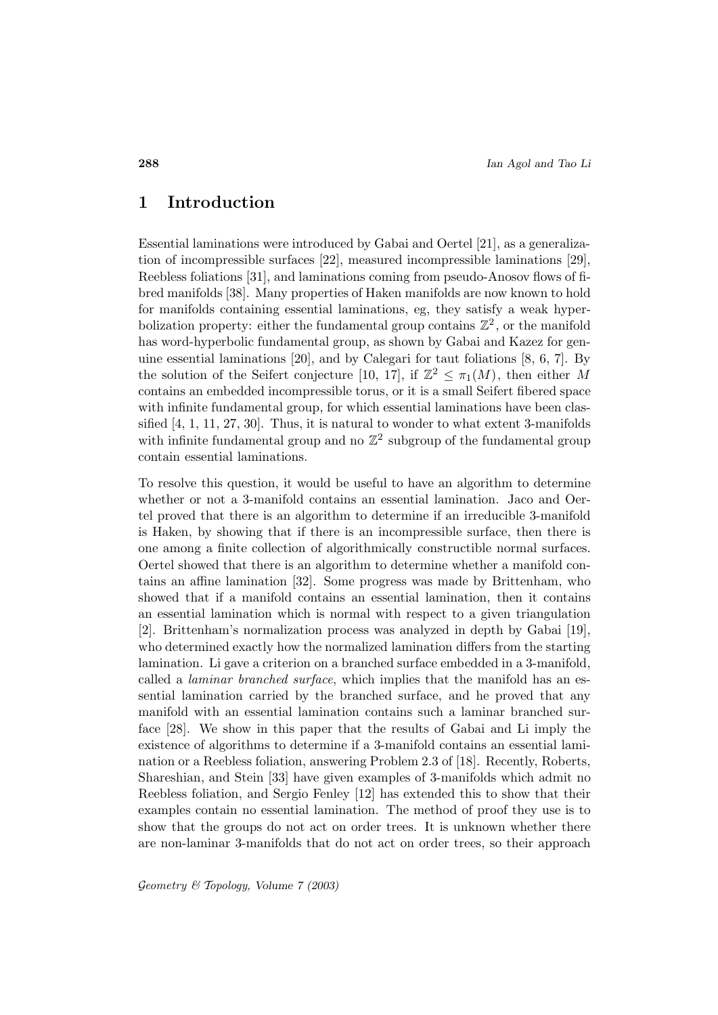## **1 Introduction**

Essential laminations were introduced by Gabai and Oertel [21], as a generalization of incompressible surfaces [22], measured incompressible laminations [29], Reebless foliations [31], and laminations coming from pseudo-Anosov flows of fibred manifolds [38]. Many properties of Haken manifolds are now known to hold for manifolds containing essential laminations, eg, they satisfy a weak hyperbolization property: either the fundamental group contains  $\mathbb{Z}^2$ , or the manifold has word-hyperbolic fundamental group, as shown by Gabai and Kazez for genuine essential laminations [20], and by Calegari for taut foliations [8, 6, 7]. By the solution of the Seifert conjecture [10, 17], if  $\mathbb{Z}^2 \leq \pi_1(M)$ , then either M contains an embedded incompressible torus, or it is a small Seifert fibered space with infinite fundamental group, for which essential laminations have been classified [4, 1, 11, 27, 30]. Thus, it is natural to wonder to what extent 3-manifolds with infinite fundamental group and no  $\mathbb{Z}^2$  subgroup of the fundamental group contain essential laminations.

To resolve this question, it would be useful to have an algorithm to determine whether or not a 3-manifold contains an essential lamination. Jaco and Oertel proved that there is an algorithm to determine if an irreducible 3-manifold is Haken, by showing that if there is an incompressible surface, then there is one among a finite collection of algorithmically constructible normal surfaces. Oertel showed that there is an algorithm to determine whether a manifold contains an affine lamination [32]. Some progress was made by Brittenham, who showed that if a manifold contains an essential lamination, then it contains an essential lamination which is normal with respect to a given triangulation [2]. Brittenham's normalization process was analyzed in depth by Gabai [19], who determined exactly how the normalized lamination differs from the starting lamination. Li gave a criterion on a branched surface embedded in a 3-manifold, called a *laminar branched surface*, which implies that the manifold has an essential lamination carried by the branched surface, and he proved that any manifold with an essential lamination contains such a laminar branched surface [28]. We show in this paper that the results of Gabai and Li imply the existence of algorithms to determine if a 3-manifold contains an essential lamination or a Reebless foliation, answering Problem 2.3 of [18]. Recently, Roberts, Shareshian, and Stein [33] have given examples of 3-manifolds which admit no Reebless foliation, and Sergio Fenley [12] has extended this to show that their examples contain no essential lamination. The method of proof they use is to show that the groups do not act on order trees. It is unknown whether there are non-laminar 3-manifolds that do not act on order trees, so their approach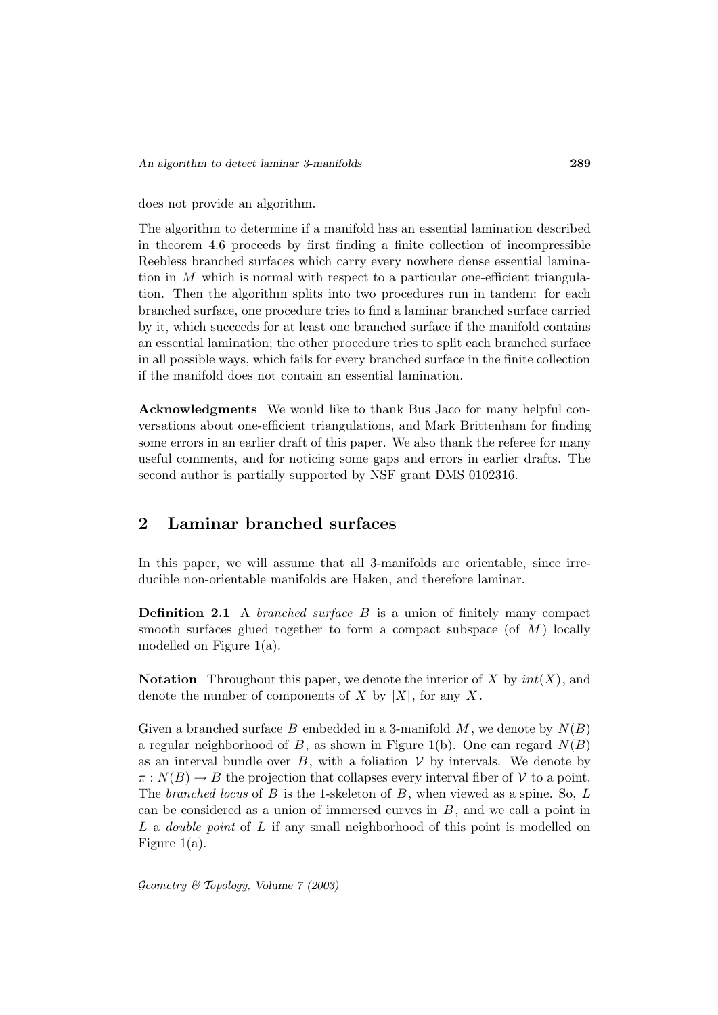does not provide an algorithm.

The algorithm to determine if a manifold has an essential lamination described in theorem 4.6 proceeds by first finding a finite collection of incompressible Reebless branched surfaces which carry every nowhere dense essential lamination in  $M$  which is normal with respect to a particular one-efficient triangulation. Then the algorithm splits into two procedures run in tandem: for each branched surface, one procedure tries to find a laminar branched surface carried by it, which succeeds for at least one branched surface if the manifold contains an essential lamination; the other procedure tries to split each branched surface in all possible ways, which fails for every branched surface in the finite collection if the manifold does not contain an essential lamination.

**Acknowledgments** We would like to thank Bus Jaco for many helpful conversations about one-efficient triangulations, and Mark Brittenham for finding some errors in an earlier draft of this paper. We also thank the referee for many useful comments, and for noticing some gaps and errors in earlier drafts. The second author is partially supported by NSF grant DMS 0102316.

# **2 Laminar branched surfaces**

In this paper, we will assume that all 3-manifolds are orientable, since irreducible non-orientable manifolds are Haken, and therefore laminar.

**Definition 2.1** A *branched surface B* is a union of finitely many compact smooth surfaces glued together to form a compact subspace (of  $M$ ) locally modelled on Figure 1(a).

**Notation** Throughout this paper, we denote the interior of X by  $int(X)$ , and denote the number of components of X by  $|X|$ , for any X.

Given a branched surface B embedded in a 3-manifold  $M$ , we denote by  $N(B)$ a regular neighborhood of B, as shown in Figure 1(b). One can regard  $N(B)$ as an interval bundle over  $B$ , with a foliation  $V$  by intervals. We denote by  $\pi: N(B) \to B$  the projection that collapses every interval fiber of V to a point. The branched locus of B is the 1-skeleton of B, when viewed as a spine. So, L can be considered as a union of immersed curves in  $B$ , and we call a point in L a *double point* of L if any small neighborhood of this point is modelled on Figure  $1(a)$ .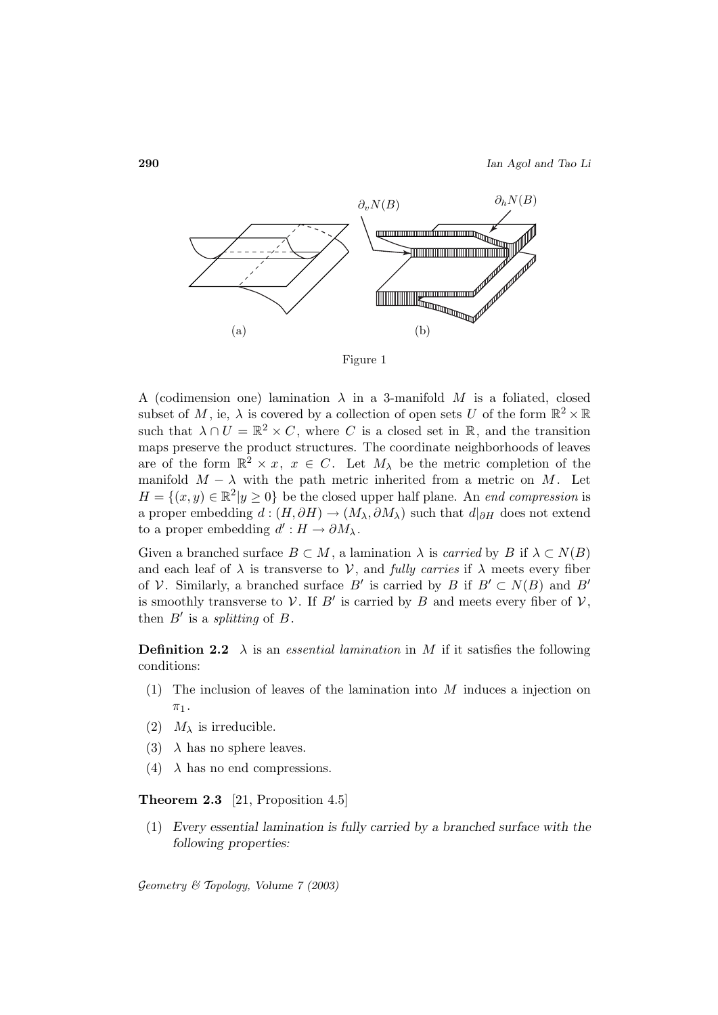

Figure 1

A (codimension one) lamination  $\lambda$  in a 3-manifold M is a foliated, closed subset of M, ie,  $\lambda$  is covered by a collection of open sets U of the form  $\mathbb{R}^2 \times \mathbb{R}$ such that  $\lambda \cap U = \mathbb{R}^2 \times C$ , where C is a closed set in  $\mathbb{R}$ , and the transition maps preserve the product structures. The coordinate neighborhoods of leaves are of the form  $\mathbb{R}^2 \times x$ ,  $x \in C$ . Let  $M_\lambda$  be the metric completion of the manifold  $M - \lambda$  with the path metric inherited from a metric on M. Let  $H = \{(x, y) \in \mathbb{R}^2 | y \ge 0\}$  be the closed upper half plane. An *end compression* is a proper embedding  $d : (H, \partial H) \to (M_{\lambda}, \partial M_{\lambda})$  such that  $d|_{\partial H}$  does not extend to a proper embedding  $d' : H \to \partial M_\lambda$ .

Given a branched surface  $B \subset M$ , a lamination  $\lambda$  is *carried* by B if  $\lambda \subset N(B)$ and each leaf of  $\lambda$  is transverse to V, and fully carries if  $\lambda$  meets every fiber of V. Similarly, a branched surface B' is carried by B if  $B' \subset N(B)$  and B' is smoothly transverse to V. If B' is carried by B and meets every fiber of  $V$ , then  $B'$  is a *splitting* of  $B$ .

**Definition 2.2**  $\lambda$  is an essential lamination in M if it satisfies the following conditions:

- (1) The inclusion of leaves of the lamination into  $M$  induces a injection on  $\pi_1$ .
- (2)  $M_{\lambda}$  is irreducible.
- (3)  $\lambda$  has no sphere leaves.
- (4)  $\lambda$  has no end compressions.

**Theorem 2.3** [21, Proposition 4.5]

(1) *Every essential lamination is fully carried by a branched surface with the following properties:*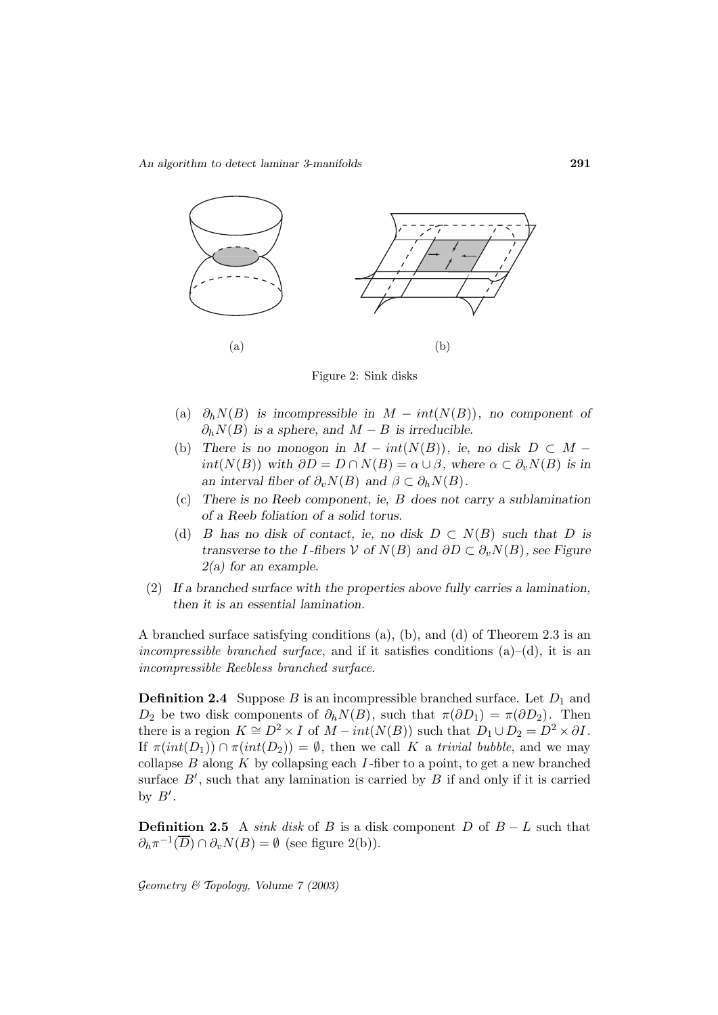

Figure 2: Sink disks

- (a)  $\partial_h N(B)$  *is incompressible in*  $M int(N(B))$ *, no component of*  $\partial_h N(B)$  *is a sphere, and*  $M - B$  *is irreducible.*
- (b) There is no monogon in  $M int(N(B))$ , ie, no disk  $D \subset M$ *int*( $N(B)$ ) *with*  $\partial D = D \cap N(B) = \alpha \cup \beta$ *, where*  $\alpha \subset \partial_n N(B)$  *is in an interval fiber of*  $\partial_v N(B)$  *and*  $\beta \subset \partial_h N(B)$ *.*
- (c) *There is no Reeb component, ie,* B *does not carry a sublamination of a Reeb foliation of a solid torus.*
- (d) B has no disk of contact, ie, no disk  $D \subset N(B)$  such that D is *transverse to the* I-fibers  $V$  *of*  $N(B)$  *and*  $\partial D \subset \partial_v N(B)$ *, see Figure 2(a) for an example.*
- (2) *If a branched surface with the properties above fully carries a lamination, then it is an essential lamination.*

A branched surface satisfying conditions (a), (b), and (d) of Theorem 2.3 is an incompressible branched surface, and if it satisfies conditions  $(a)$ – $(d)$ , it is an incompressible Reebless branched surface.

**Definition 2.4** Suppose B is an incompressible branched surface. Let  $D_1$  and  $D_2$  be two disk components of  $\partial_h N(B)$ , such that  $\pi(\partial D_1) = \pi(\partial D_2)$ . Then there is a region  $K \cong D^2 \times I$  of  $M - int(N(B))$  such that  $D_1 \cup D_2 = D^2 \times \partial I$ . If  $\pi(int(D_1)) \cap \pi(int(D_2)) = \emptyset$ , then we call K a trivial bubble, and we may collapse  $B$  along  $K$  by collapsing each  $I$ -fiber to a point, to get a new branched surface  $B'$ , such that any lamination is carried by  $B$  if and only if it is carried by  $B'$ .

**Definition 2.5** A sink disk of B is a disk component D of  $B - L$  such that  $\partial_h \pi^{-1}(\overline{D}) \cap \partial_v N(B) = \emptyset$  (see figure 2(b)).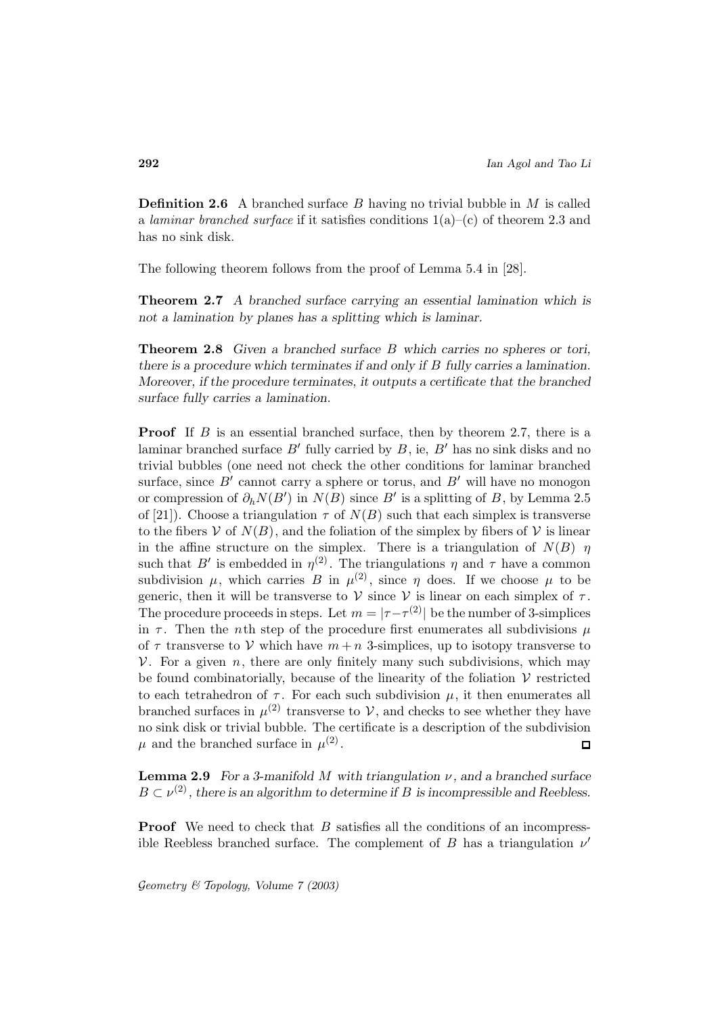**Definition 2.6** A branched surface B having no trivial bubble in M is called a laminar branched surface if it satisfies conditions  $1(a)$ –(c) of theorem 2.3 and has no sink disk.

The following theorem follows from the proof of Lemma 5.4 in [28].

**Theorem 2.7** *A branched surface carrying an essential lamination which is not a lamination by planes has a splitting which is laminar.*

**Theorem 2.8** *Given a branched surface* B *which carries no spheres or tori, there is a procedure which terminates if and only if* B *fully carries a lamination. Moreover, if the procedure terminates, it outputs a certificate that the branched surface fully carries a lamination.*

**Proof** If B is an essential branched surface, then by theorem 2.7, there is a laminar branched surface  $B'$  fully carried by  $B$ , ie,  $B'$  has no sink disks and no trivial bubbles (one need not check the other conditions for laminar branched surface, since  $B'$  cannot carry a sphere or torus, and  $B'$  will have no monogon or compression of  $\partial_h N(B')$  in  $N(B)$  since  $B'$  is a splitting of B, by Lemma 2.5 of [21]). Choose a triangulation  $\tau$  of  $N(B)$  such that each simplex is transverse to the fibers V of  $N(B)$ , and the foliation of the simplex by fibers of V is linear in the affine structure on the simplex. There is a triangulation of  $N(B)$   $\eta$ such that B<sup>'</sup> is embedded in  $\eta^{(2)}$ . The triangulations  $\eta$  and  $\tau$  have a common subdivision  $\mu$ , which carries B in  $\mu^{(2)}$ , since  $\eta$  does. If we choose  $\mu$  to be generic, then it will be transverse to  $V$  since  $V$  is linear on each simplex of  $\tau$ . The procedure proceeds in steps. Let  $m = |\tau - \tau^{(2)}|$  be the number of 3-simplices in  $\tau$ . Then the *n*th step of the procedure first enumerates all subdivisions  $\mu$ of  $\tau$  transverse to V which have  $m + n$  3-simplices, up to isotopy transverse to  $V$ . For a given n, there are only finitely many such subdivisions, which may be found combinatorially, because of the linearity of the foliation  $V$  restricted to each tetrahedron of  $\tau$ . For each such subdivision  $\mu$ , it then enumerates all branched surfaces in  $\mu^{(2)}$  transverse to  $\mathcal{V}$ , and checks to see whether they have no sink disk or trivial bubble. The certificate is a description of the subdivision  $\mu$  and the branched surface in  $\mu^{(2)}$ .  $\Box$ 

**Lemma 2.9** *For a 3-manifold M* with triangulation  $\nu$ , and a branched surface  $B \subset \nu^{(2)}$ , there is an algorithm to determine if B is incompressible and Reebless.

**Proof** We need to check that B satisfies all the conditions of an incompressible Reebless branched surface. The complement of B has a triangulation  $\nu'$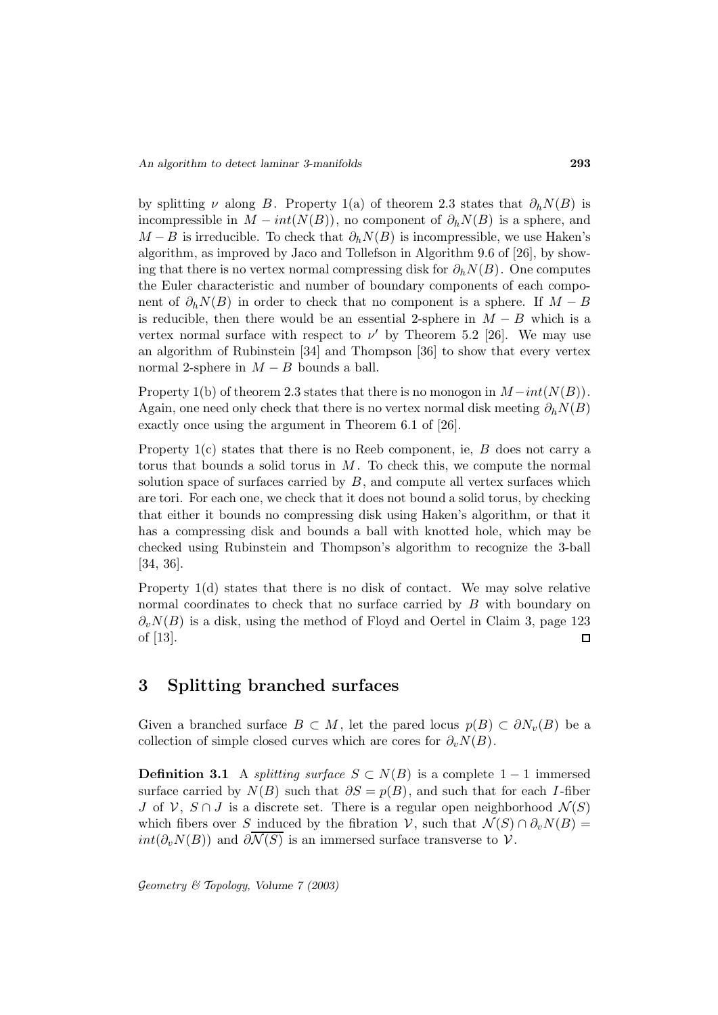by splitting  $\nu$  along B. Property 1(a) of theorem 2.3 states that  $\partial_h N(B)$  is incompressible in  $M - int(N(B))$ , no component of  $\partial_h N(B)$  is a sphere, and  $M - B$  is irreducible. To check that  $\partial_h N(B)$  is incompressible, we use Haken's algorithm, as improved by Jaco and Tollefson in Algorithm 9.6 of [26], by showing that there is no vertex normal compressing disk for  $\partial_h N(B)$ . One computes the Euler characteristic and number of boundary components of each component of  $\partial_h N(B)$  in order to check that no component is a sphere. If  $M - B$ is reducible, then there would be an essential 2-sphere in  $M - B$  which is a vertex normal surface with respect to  $\nu'$  by Theorem 5.2 [26]. We may use an algorithm of Rubinstein [34] and Thompson [36] to show that every vertex normal 2-sphere in  $M - B$  bounds a ball.

Property 1(b) of theorem 2.3 states that there is no monogon in  $M-int(N(B))$ . Again, one need only check that there is no vertex normal disk meeting  $\partial_h N(B)$ exactly once using the argument in Theorem 6.1 of [26].

Property  $1(c)$  states that there is no Reeb component, ie,  $B$  does not carry a torus that bounds a solid torus in  $M$ . To check this, we compute the normal solution space of surfaces carried by  $B$ , and compute all vertex surfaces which are tori. For each one, we check that it does not bound a solid torus, by checking that either it bounds no compressing disk using Haken's algorithm, or that it has a compressing disk and bounds a ball with knotted hole, which may be checked using Rubinstein and Thompson's algorithm to recognize the 3-ball [34, 36].

Property 1(d) states that there is no disk of contact. We may solve relative normal coordinates to check that no surface carried by B with boundary on  $\partial_v N(B)$  is a disk, using the method of Floyd and Oertel in Claim 3, page 123 of [13]. П

## **3 Splitting branched surfaces**

Given a branched surface  $B \subset M$ , let the pared locus  $p(B) \subset \partial N_v(B)$  be a collection of simple closed curves which are cores for  $\partial_v N(B)$ .

**Definition 3.1** A *splitting surface*  $S \subset N(B)$  is a complete 1 − 1 immersed surface carried by  $N(B)$  such that  $\partial S = p(B)$ , and such that for each I-fiber J of  $\mathcal{V}, S \cap J$  is a discrete set. There is a regular open neighborhood  $\mathcal{N}(S)$ which fibers over S induced by the fibration V, such that  $\mathcal{N}(S) \cap \partial_n N(B) =$  $int(\partial_v N(B))$  and  $\partial \mathcal{N}(S)$  is an immersed surface transverse to V.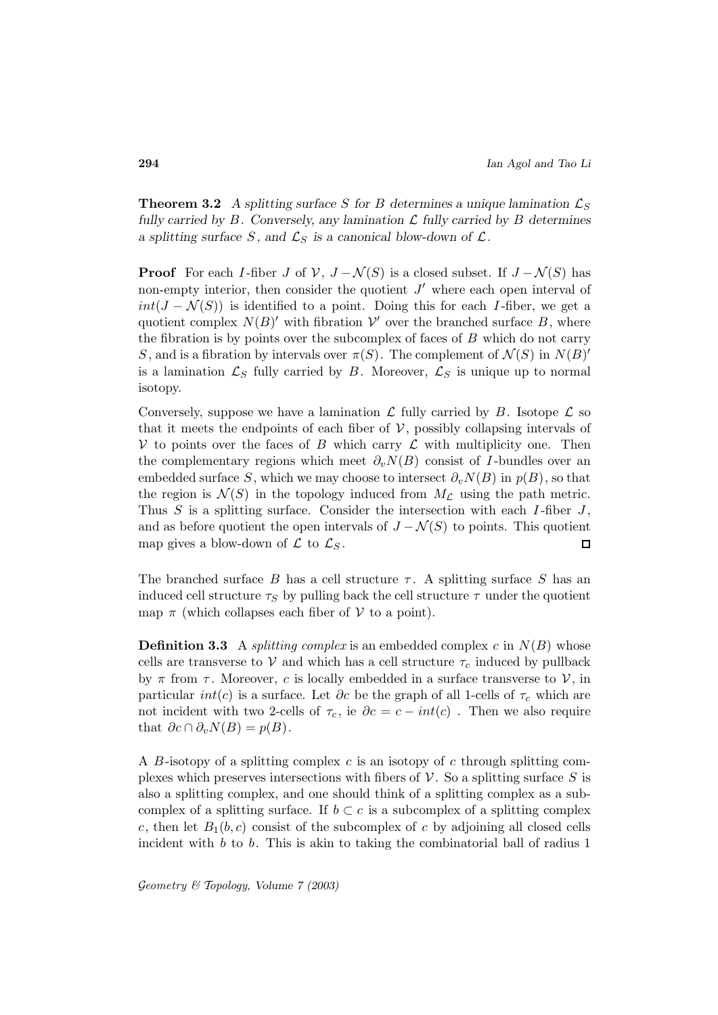**Theorem 3.2** A splitting surface S for B determines a unique lamination  $\mathcal{L}_S$ *fully carried by* B*. Conversely, any lamination* L *fully carried by* B *determines a splitting surface* S, and  $\mathcal{L}_S$  *is a canonical blow-down of*  $\mathcal{L}$ *.* 

**Proof** For each I-fiber J of  $V$ ,  $J - \mathcal{N}(S)$  is a closed subset. If  $J - \mathcal{N}(S)$  has non-empty interior, then consider the quotient  $J'$  where each open interval of  $int(J - \mathcal{N}(S))$  is identified to a point. Doing this for each I-fiber, we get a quotient complex  $N(B)$ <sup>'</sup> with fibration  $\mathcal V'$  over the branched surface B, where the fibration is by points over the subcomplex of faces of  $B$  which do not carry S, and is a fibration by intervals over  $\pi(S)$ . The complement of  $\mathcal{N}(S)$  in  $N(B)'$ is a lamination  $\mathcal{L}_S$  fully carried by B. Moreover,  $\mathcal{L}_S$  is unique up to normal isotopy.

Conversely, suppose we have a lamination  $\mathcal L$  fully carried by  $B$ . Isotope  $\mathcal L$  so that it meets the endpoints of each fiber of  $\mathcal V$ , possibly collapsing intervals of V to points over the faces of B which carry  $\mathcal L$  with multiplicity one. Then the complementary regions which meet  $\partial_v N(B)$  consist of I-bundles over an embedded surface S, which we may choose to intersect  $\partial_v N(B)$  in  $p(B)$ , so that the region is  $\mathcal{N}(S)$  in the topology induced from  $M_{\mathcal{L}}$  using the path metric. Thus S is a splitting surface. Consider the intersection with each  $I$ -fiber  $J$ , and as before quotient the open intervals of  $J - \mathcal{N}(S)$  to points. This quotient map gives a blow-down of  $\mathcal L$  to  $\mathcal L_S$ .  $\Box$ 

The branched surface B has a cell structure  $\tau$ . A splitting surface S has an induced cell structure  $\tau_S$  by pulling back the cell structure  $\tau$  under the quotient map  $\pi$  (which collapses each fiber of  $\mathcal V$  to a point).

**Definition 3.3** A *splitting complex* is an embedded complex  $c$  in  $N(B)$  whose cells are transverse to V and which has a cell structure  $\tau_c$  induced by pullback by  $\pi$  from  $\tau$ . Moreover, c is locally embedded in a surface transverse to  $\mathcal{V}$ , in particular  $int(c)$  is a surface. Let  $\partial c$  be the graph of all 1-cells of  $\tau_c$  which are not incident with two 2-cells of  $\tau_c$ , ie  $\partial c = c - int(c)$ . Then we also require that  $\partial c \cap \partial_v N(B) = p(B)$ .

A  $B$ -isotopy of a splitting complex  $c$  is an isotopy of  $c$  through splitting complexes which preserves intersections with fibers of  $\mathcal V$ . So a splitting surface S is also a splitting complex, and one should think of a splitting complex as a subcomplex of a splitting surface. If  $b \subset c$  is a subcomplex of a splitting complex c, then let  $B_1(b, c)$  consist of the subcomplex of c by adjoining all closed cells incident with  $b$  to  $b$ . This is akin to taking the combinatorial ball of radius  $1$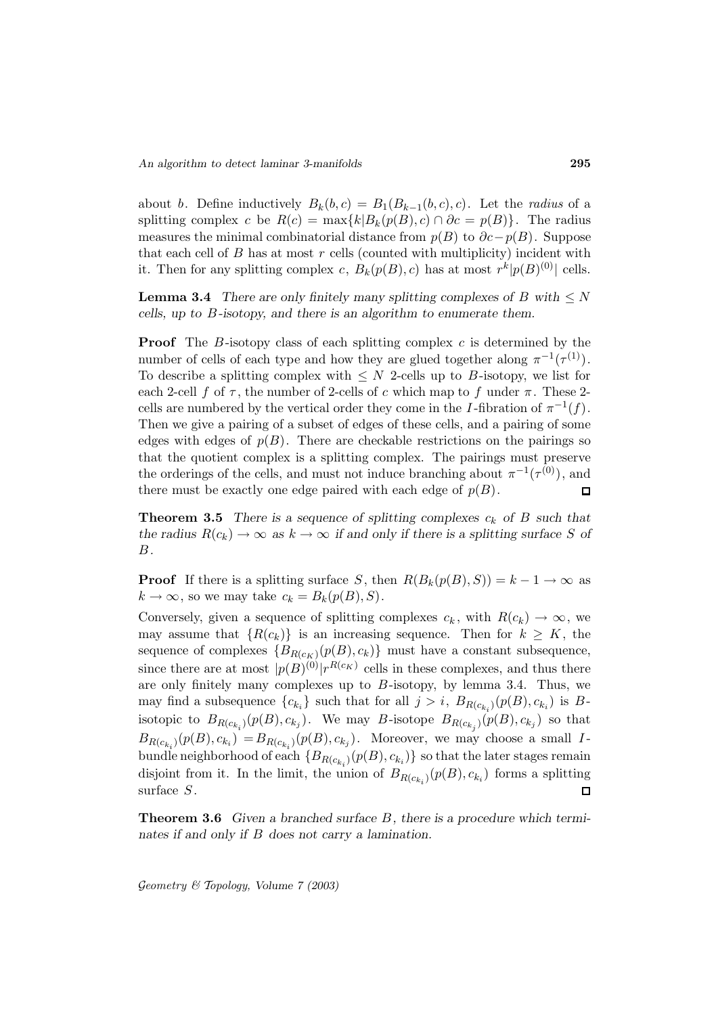about b. Define inductively  $B_k(b, c) = B_1(B_{k-1}(b, c), c)$ . Let the *radius* of a splitting complex c be  $R(c) = \max\{k|B_k(p(B), c) \cap \partial c = p(B)\}.$  The radius measures the minimal combinatorial distance from  $p(B)$  to  $\partial c-p(B)$ . Suppose that each cell of  $B$  has at most  $r$  cells (counted with multiplicity) incident with it. Then for any splitting complex c,  $B_k(p(B), c)$  has at most  $r^k|p(B)^{(0)}|$  cells.

**Lemma 3.4** *There are only finitely many splitting complexes of*  $B$  *with*  $\leq N$ *cells, up to* B*-isotopy, and there is an algorithm to enumerate them.*

**Proof** The B-isotopy class of each splitting complex c is determined by the number of cells of each type and how they are glued together along  $\pi^{-1}(\tau^{(1)})$ . To describe a splitting complex with  $\leq N$  2-cells up to B-isotopy, we list for each 2-cell f of  $\tau$ , the number of 2-cells of c which map to f under  $\pi$ . These 2cells are numbered by the vertical order they come in the I-fibration of  $\pi^{-1}(f)$ . Then we give a pairing of a subset of edges of these cells, and a pairing of some edges with edges of  $p(B)$ . There are checkable restrictions on the pairings so that the quotient complex is a splitting complex. The pairings must preserve the orderings of the cells, and must not induce branching about  $\pi^{-1}(\tau^{(0)})$ , and there must be exactly one edge paired with each edge of  $p(B)$ .  $\Box$ 

**Theorem 3.5** *There is a sequence of splitting complexes*  $c_k$  *of*  $B$  *such that the radius*  $R(c_k) \to \infty$  *as*  $k \to \infty$  *if and only if there is a splitting surface* S of B*.*

**Proof** If there is a splitting surface S, then  $R(B_k(p(B), S)) = k - 1 \rightarrow \infty$  as  $k \to \infty$ , so we may take  $c_k = B_k(p(B), S)$ .

Conversely, given a sequence of splitting complexes  $c_k$ , with  $R(c_k) \to \infty$ , we may assume that  ${R(c_k)}$  is an increasing sequence. Then for  $k \geq K$ , the sequence of complexes  ${B_{R(c_K)}(p(B), c_k)}$  must have a constant subsequence, since there are at most  $|p(B)^{(0)}|r^{R(c_K)}$  cells in these complexes, and thus there are only finitely many complexes up to  $B$ -isotopy, by lemma 3.4. Thus, we may find a subsequence  ${c_{k_i}}$  such that for all  $j>i$ ,  $B_{R(c_{k_i})}(p(B), c_{k_i})$  is Bisotopic to  $B_{R(c_{k_i})}(p(B), c_{k_j})$ . We may B-isotope  $B_{R(c_{k_i})}(p(B), c_{k_j})$  so that  $B_{R(c_{k_i})}(p(B), c_{k_i}) = B_{R(c_{k_i})}(p(B), c_{k_j}).$  Moreover, we may choose a small Ibundle neighborhood of each  ${B_{R(c_{k_i})}(p(B), c_{k_i})}$  so that the later stages remain disjoint from it. In the limit, the union of  $B_{R(c_{k_i})}(p(B), c_{k_i})$  forms a splitting surface S. surface S.

**Theorem 3.6** *Given a branched surface* B*, there is a procedure which terminates if and only if* B *does not carry a lamination.*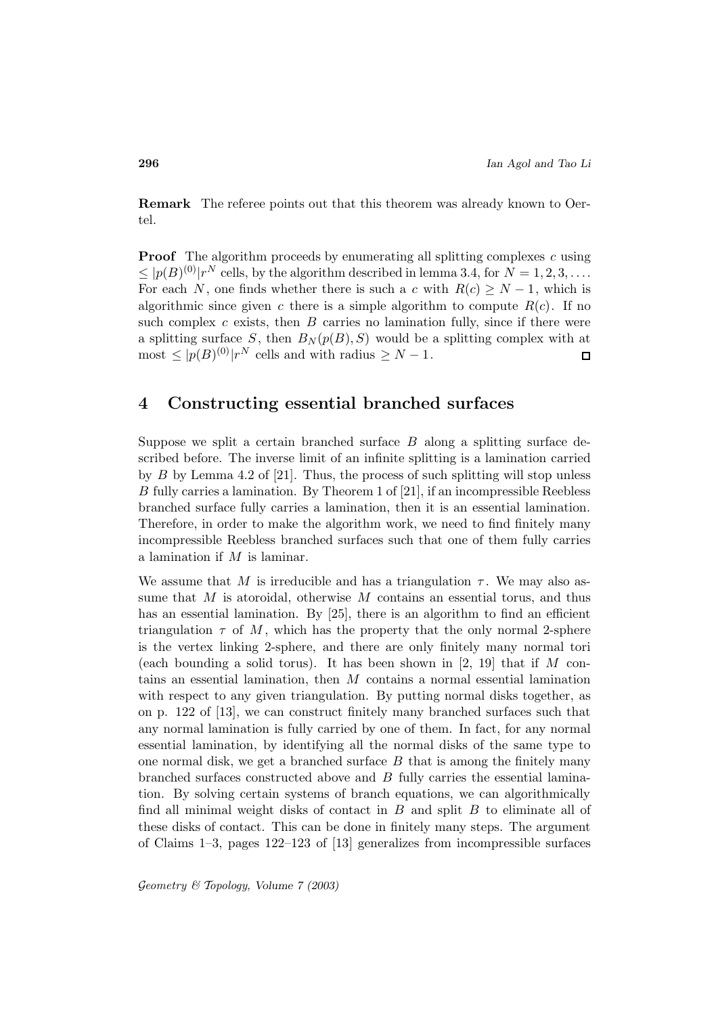**Remark** The referee points out that this theorem was already known to Oertel.

**Proof** The algorithm proceeds by enumerating all splitting complexes c using  $\leq$   $|p(B)^{(0)}|r^N$  cells, by the algorithm described in lemma 3.4, for  $N = 1, 2, 3, \ldots$ . For each N, one finds whether there is such a c with  $R(c) \geq N-1$ , which is algorithmic since given c there is a simple algorithm to compute  $R(c)$ . If no such complex  $c$  exists, then  $B$  carries no lamination fully, since if there were a splitting surface S, then  $B_N(p(B), S)$  would be a splitting complex with at most  $\leq |p(B)^{(0)}|r^N$  cells and with radius  $\geq N-1$ .  $\Box$ 

### **4 Constructing essential branched surfaces**

Suppose we split a certain branched surface  $B$  along a splitting surface described before. The inverse limit of an infinite splitting is a lamination carried by B by Lemma 4.2 of [21]. Thus, the process of such splitting will stop unless B fully carries a lamination. By Theorem 1 of [21], if an incompressible Reebless branched surface fully carries a lamination, then it is an essential lamination. Therefore, in order to make the algorithm work, we need to find finitely many incompressible Reebless branched surfaces such that one of them fully carries a lamination if M is laminar.

We assume that M is irreducible and has a triangulation  $\tau$ . We may also assume that  $M$  is atoroidal, otherwise  $M$  contains an essential torus, and thus has an essential lamination. By [25], there is an algorithm to find an efficient triangulation  $\tau$  of M, which has the property that the only normal 2-sphere is the vertex linking 2-sphere, and there are only finitely many normal tori (each bounding a solid torus). It has been shown in  $[2, 19]$  that if M contains an essential lamination, then M contains a normal essential lamination with respect to any given triangulation. By putting normal disks together, as on p. 122 of [13], we can construct finitely many branched surfaces such that any normal lamination is fully carried by one of them. In fact, for any normal essential lamination, by identifying all the normal disks of the same type to one normal disk, we get a branched surface  $B$  that is among the finitely many branched surfaces constructed above and B fully carries the essential lamination. By solving certain systems of branch equations, we can algorithmically find all minimal weight disks of contact in  $B$  and split  $B$  to eliminate all of these disks of contact. This can be done in finitely many steps. The argument of Claims 1–3, pages 122–123 of [13] generalizes from incompressible surfaces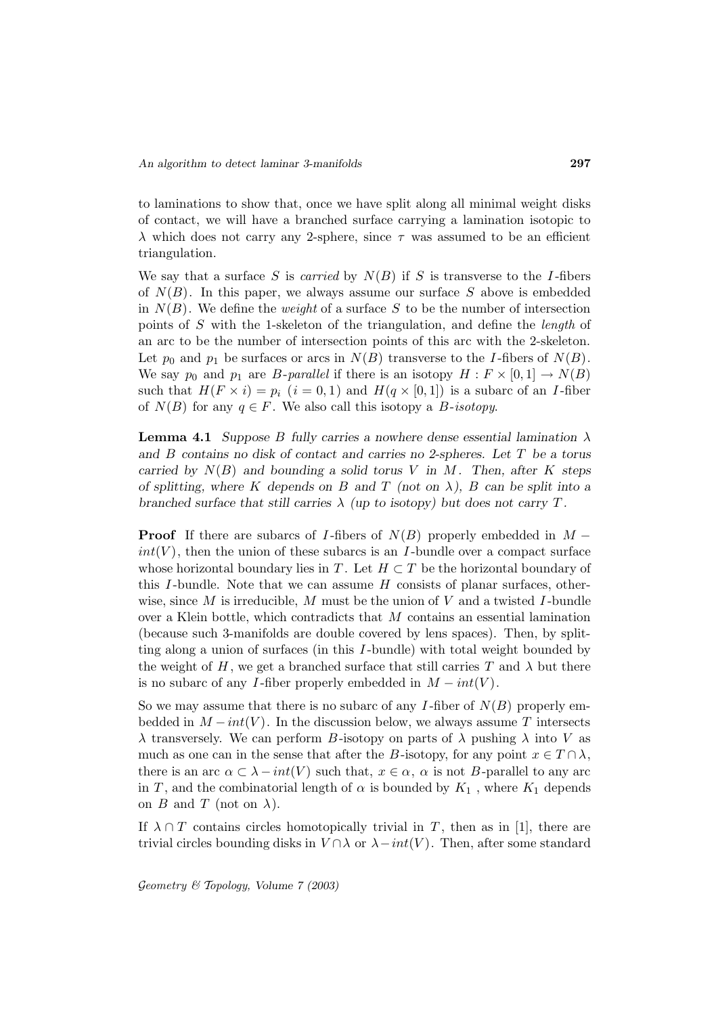to laminations to show that, once we have split along all minimal weight disks of contact, we will have a branched surface carrying a lamination isotopic to  $\lambda$  which does not carry any 2-sphere, since  $\tau$  was assumed to be an efficient triangulation.

We say that a surface S is carried by  $N(B)$  if S is transverse to the I-fibers of  $N(B)$ . In this paper, we always assume our surface S above is embedded in  $N(B)$ . We define the *weight* of a surface S to be the number of intersection points of S with the 1-skeleton of the triangulation, and define the length of an arc to be the number of intersection points of this arc with the 2-skeleton. Let  $p_0$  and  $p_1$  be surfaces or arcs in  $N(B)$  transverse to the I-fibers of  $N(B)$ . We say  $p_0$  and  $p_1$  are *B*-parallel if there is an isotopy  $H : F \times [0,1] \to N(B)$ such that  $H(F \times i) = p_i$   $(i = 0, 1)$  and  $H(q \times [0, 1])$  is a subarc of an *I*-fiber of  $N(B)$  for any  $q \in F$ . We also call this isotopy a *B*-isotopy.

**Lemma 4.1** *Suppose B fully carries a nowhere dense essential lamination*  $\lambda$ *and* B *contains no disk of contact and carries no 2-spheres. Let* T *be a torus carried by*  $N(B)$  *and bounding a solid torus* V *in* M. Then, after K steps *of splitting, where* K *depends on* B *and* T *(not on* λ*),* B *can be split into a branched surface that still carries*  $\lambda$  *(up to isotopy) but does not carry* T.

**Proof** If there are subarcs of I-fibers of  $N(B)$  properly embedded in  $M$  $int(V)$ , then the union of these subarcs is an I-bundle over a compact surface whose horizontal boundary lies in T. Let  $H \subset T$  be the horizontal boundary of this I-bundle. Note that we can assume  $H$  consists of planar surfaces, otherwise, since M is irreducible, M must be the union of V and a twisted I-bundle over a Klein bottle, which contradicts that M contains an essential lamination (because such 3-manifolds are double covered by lens spaces). Then, by splitting along a union of surfaces (in this I -bundle) with total weight bounded by the weight of H, we get a branched surface that still carries T and  $\lambda$  but there is no subarc of any I-fiber properly embedded in  $M - int(V)$ .

So we may assume that there is no subarc of any I-fiber of  $N(B)$  properly embedded in  $M - int(V)$ . In the discussion below, we always assume T intersects  $\lambda$  transversely. We can perform B-isotopy on parts of  $\lambda$  pushing  $\lambda$  into V as much as one can in the sense that after the B-isotopy, for any point  $x \in T \cap \lambda$ , there is an arc  $\alpha \subset \lambda - int(V)$  such that,  $x \in \alpha$ ,  $\alpha$  is not B-parallel to any arc in T, and the combinatorial length of  $\alpha$  is bounded by  $K_1$ , where  $K_1$  depends on B and T (not on  $\lambda$ ).

If  $\lambda \cap T$  contains circles homotopically trivial in T, then as in [1], there are trivial circles bounding disks in  $V \cap \lambda$  or  $\lambda - int(V)$ . Then, after some standard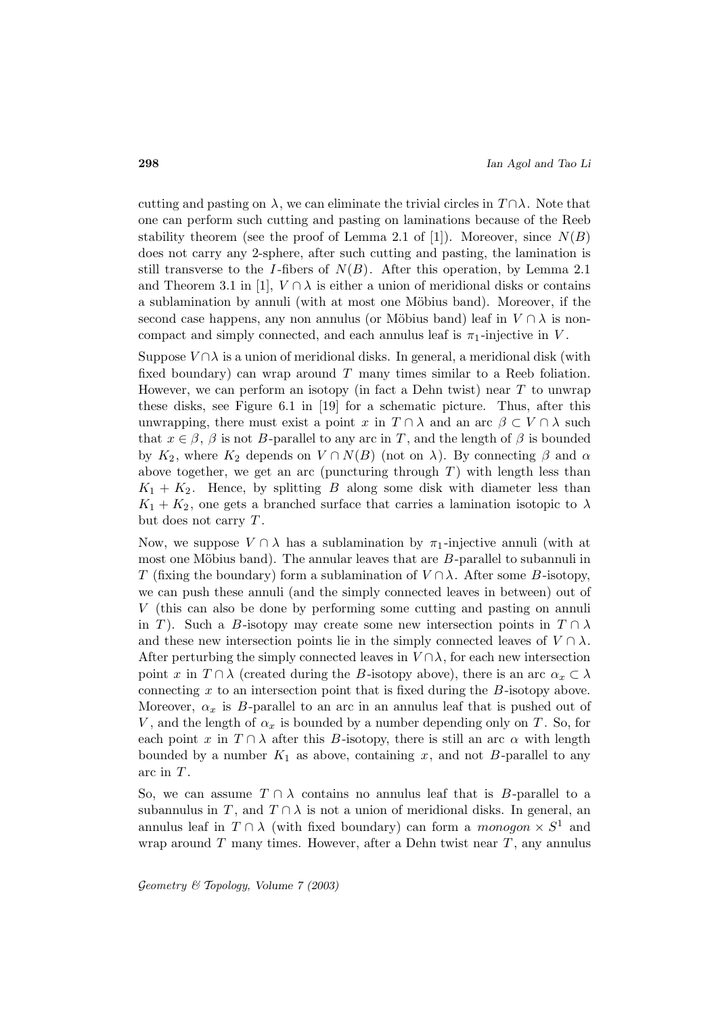cutting and pasting on  $\lambda$ , we can eliminate the trivial circles in  $T \cap \lambda$ . Note that one can perform such cutting and pasting on laminations because of the Reeb stability theorem (see the proof of Lemma 2.1 of [1]). Moreover, since  $N(B)$ does not carry any 2-sphere, after such cutting and pasting, the lamination is still transverse to the I-fibers of  $N(B)$ . After this operation, by Lemma 2.1 and Theorem 3.1 in [1],  $V \cap \lambda$  is either a union of meridional disks or contains a sublamination by annuli (with at most one Möbius band). Moreover, if the second case happens, any non annulus (or Möbius band) leaf in  $V \cap \lambda$  is noncompact and simply connected, and each annulus leaf is  $\pi_1$ -injective in V.

Suppose  $V \cap \lambda$  is a union of meridional disks. In general, a meridional disk (with fixed boundary) can wrap around  $T$  many times similar to a Reeb foliation. However, we can perform an isotopy (in fact a Dehn twist) near  $T$  to unwrap these disks, see Figure 6.1 in [19] for a schematic picture. Thus, after this unwrapping, there must exist a point x in  $T \cap \lambda$  and an arc  $\beta \subset V \cap \lambda$  such that  $x \in \beta$ ,  $\beta$  is not B-parallel to any arc in T, and the length of  $\beta$  is bounded by  $K_2$ , where  $K_2$  depends on  $V \cap N(B)$  (not on  $\lambda$ ). By connecting  $\beta$  and  $\alpha$ above together, we get an arc (puncturing through  $T$ ) with length less than  $K_1 + K_2$ . Hence, by splitting B along some disk with diameter less than  $K_1 + K_2$ , one gets a branched surface that carries a lamination isotopic to  $\lambda$ but does not carry  $T$ .

Now, we suppose  $V \cap \lambda$  has a sublamination by  $\pi_1$ -injective annuli (with at most one Möbius band). The annular leaves that are  $B$ -parallel to subannuli in T (fixing the boundary) form a sublamination of  $V \cap \lambda$ . After some B-isotopy, we can push these annuli (and the simply connected leaves in between) out of V (this can also be done by performing some cutting and pasting on annuli in T). Such a B-isotopy may create some new intersection points in  $T \cap \lambda$ and these new intersection points lie in the simply connected leaves of  $V \cap \lambda$ . After perturbing the simply connected leaves in  $V \cap \lambda$ , for each new intersection point x in  $T \cap \lambda$  (created during the B-isotopy above), there is an arc  $\alpha_x \subset \lambda$ connecting  $x$  to an intersection point that is fixed during the  $B$ -isotopy above. Moreover,  $\alpha_x$  is B-parallel to an arc in an annulus leaf that is pushed out of V, and the length of  $\alpha_x$  is bounded by a number depending only on T. So, for each point x in  $T \cap \lambda$  after this B-isotopy, there is still an arc  $\alpha$  with length bounded by a number  $K_1$  as above, containing x, and not B-parallel to any arc in  $T$ .

So, we can assume  $T \cap \lambda$  contains no annulus leaf that is B-parallel to a subannulus in T, and  $T \cap \lambda$  is not a union of meridional disks. In general, an annulus leaf in  $T \cap \lambda$  (with fixed boundary) can form a monogon  $\times S<sup>1</sup>$  and wrap around  $T$  many times. However, after a Dehn twist near  $T$ , any annulus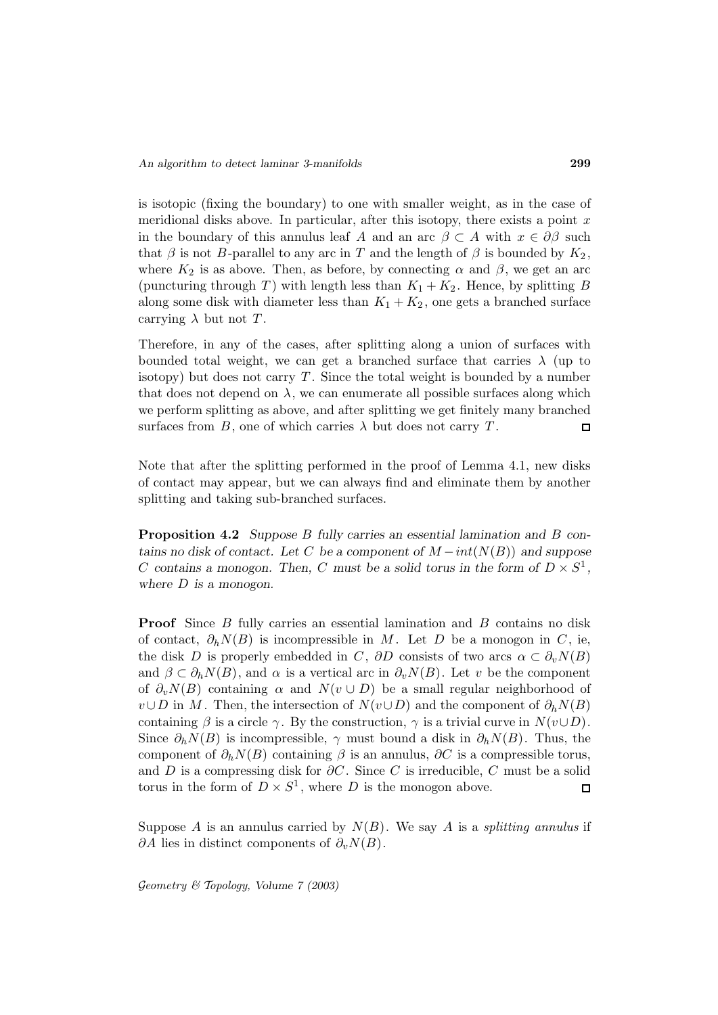is isotopic (fixing the boundary) to one with smaller weight, as in the case of meridional disks above. In particular, after this isotopy, there exists a point  $x$ in the boundary of this annulus leaf A and an arc  $\beta \subset A$  with  $x \in \partial \beta$  such that  $\beta$  is not B-parallel to any arc in T and the length of  $\beta$  is bounded by  $K_2$ , where  $K_2$  is as above. Then, as before, by connecting  $\alpha$  and  $\beta$ , we get an arc (puncturing through T) with length less than  $K_1 + K_2$ . Hence, by splitting B along some disk with diameter less than  $K_1 + K_2$ , one gets a branched surface carrying  $\lambda$  but not T.

Therefore, in any of the cases, after splitting along a union of surfaces with bounded total weight, we can get a branched surface that carries  $\lambda$  (up to isotopy) but does not carry  $T$ . Since the total weight is bounded by a number that does not depend on  $\lambda$ , we can enumerate all possible surfaces along which we perform splitting as above, and after splitting we get finitely many branched surfaces from  $B$ , one of which carries  $\lambda$  but does not carry T.  $\Box$ 

Note that after the splitting performed in the proof of Lemma 4.1, new disks of contact may appear, but we can always find and eliminate them by another splitting and taking sub-branched surfaces.

**Proposition 4.2** *Suppose* B *fully carries an essential lamination and* B *contains no disk of contact. Let* C *be a component of*  $M - int(N(B))$  *and suppose* C contains a monogon. Then, C must be a solid torus in the form of  $D \times S^1$ , *where* D *is a monogon.*

**Proof** Since B fully carries an essential lamination and B contains no disk of contact,  $\partial_h N(B)$  is incompressible in M. Let D be a monogon in C, ie, the disk D is properly embedded in C,  $\partial D$  consists of two arcs  $\alpha \subset \partial_v N(B)$ and  $\beta \subset \partial_h N(B)$ , and  $\alpha$  is a vertical arc in  $\partial_v N(B)$ . Let v be the component of  $\partial_v N(B)$  containing  $\alpha$  and  $N(v \cup D)$  be a small regular neighborhood of  $v\cup D$  in M. Then, the intersection of  $N(v\cup D)$  and the component of  $\partial_h N(B)$ containing  $\beta$  is a circle  $\gamma$ . By the construction,  $\gamma$  is a trivial curve in  $N(v \cup D)$ . Since  $\partial_h N(B)$  is incompressible,  $\gamma$  must bound a disk in  $\partial_h N(B)$ . Thus, the component of  $\partial_h N(B)$  containing  $\beta$  is an annulus,  $\partial C$  is a compressible torus, and D is a compressing disk for  $\partial C$ . Since C is irreducible, C must be a solid torus in the form of  $D \times S^1$ , where D is the monogon above.  $\Box$ 

Suppose A is an annulus carried by  $N(B)$ . We say A is a *splitting annulus* if  $\partial A$  lies in distinct components of  $\partial_v N(B)$ .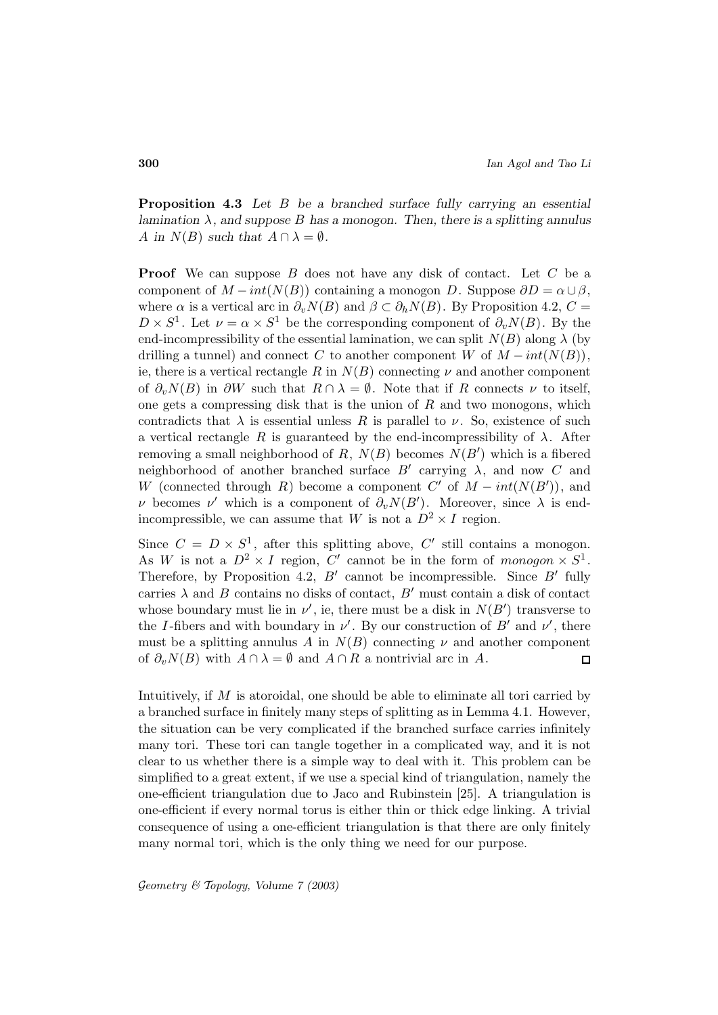**Proposition 4.3** *Let* B *be a branched surface fully carrying an essential lamination* λ*, and suppose* B *has a monogon. Then, there is a splitting annulus* A in  $N(B)$  *such that*  $A \cap \lambda = \emptyset$ *.* 

**Proof** We can suppose B does not have any disk of contact. Let C be a component of  $M - int(N(B))$  containing a monogon D. Suppose  $\partial D = \alpha \cup \beta$ , where  $\alpha$  is a vertical arc in  $\partial_v N(B)$  and  $\beta \subset \partial_h N(B)$ . By Proposition 4.2,  $C =$  $D \times S^1$ . Let  $\nu = \alpha \times S^1$  be the corresponding component of  $\partial_v N(B)$ . By the end-incompressibility of the essential lamination, we can split  $N(B)$  along  $\lambda$  (by drilling a tunnel) and connect C to another component W of  $M - int(N(B)),$ ie, there is a vertical rectangle R in  $N(B)$  connecting  $\nu$  and another component of  $\partial_{\nu}N(B)$  in  $\partial W$  such that  $R \cap \lambda = \emptyset$ . Note that if R connects  $\nu$  to itself, one gets a compressing disk that is the union of  $R$  and two monogons, which contradicts that  $\lambda$  is essential unless R is parallel to  $\nu$ . So, existence of such a vertical rectangle R is guaranteed by the end-incompressibility of  $\lambda$ . After removing a small neighborhood of R,  $N(B)$  becomes  $N(B')$  which is a fibered neighborhood of another branched surface  $B'$  carrying  $\lambda$ , and now C and W (connected through R) become a component  $C'$  of  $M - int(N(B'))$ , and ν becomes ν' which is a component of  $\partial_v N(B')$ . Moreover, since  $\lambda$  is endincompressible, we can assume that W is not a  $D^2 \times I$  region.

Since  $C = D \times S^1$ , after this splitting above, C' still contains a monogon. As W is not a  $D^2 \times I$  region, C' cannot be in the form of monogon  $\times S^1$ . Therefore, by Proposition 4.2,  $B'$  cannot be incompressible. Since  $B'$  fully carries  $\lambda$  and B contains no disks of contact, B' must contain a disk of contact whose boundary must lie in  $\nu'$ , ie, there must be a disk in  $N(B')$  transverse to the I-fibers and with boundary in  $\nu'$ . By our construction of B' and  $\nu'$ , there must be a splitting annulus A in  $N(B)$  connecting  $\nu$  and another component of  $\partial_v N(B)$  with  $A \cap \lambda = \emptyset$  and  $A \cap R$  a nontrivial arc in A.  $\Box$ 

Intuitively, if M is atoroidal, one should be able to eliminate all tori carried by a branched surface in finitely many steps of splitting as in Lemma 4.1. However, the situation can be very complicated if the branched surface carries infinitely many tori. These tori can tangle together in a complicated way, and it is not clear to us whether there is a simple way to deal with it. This problem can be simplified to a great extent, if we use a special kind of triangulation, namely the one-efficient triangulation due to Jaco and Rubinstein [25]. A triangulation is one-efficient if every normal torus is either thin or thick edge linking. A trivial consequence of using a one-efficient triangulation is that there are only finitely many normal tori, which is the only thing we need for our purpose.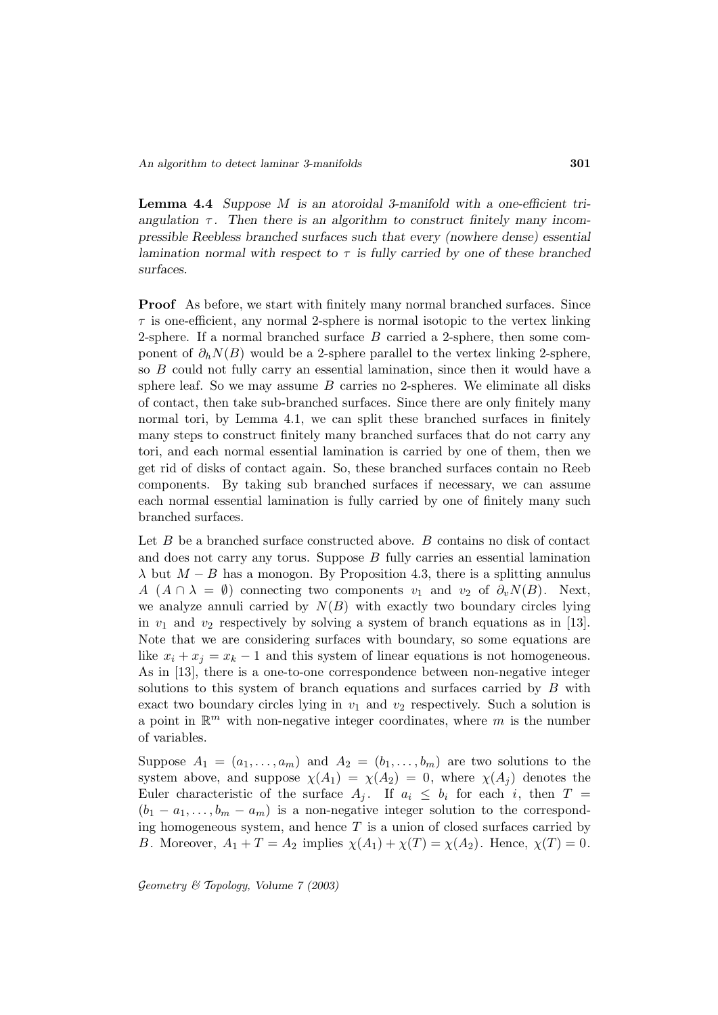**Lemma 4.4** *Suppose* M *is an atoroidal 3-manifold with a one-efficient triangulation*  $\tau$ . Then there is an algorithm to construct finitely many incom*pressible Reebless branched surfaces such that every (nowhere dense) essential lamination normal with respect to* τ *is fully carried by one of these branched surfaces.*

**Proof** As before, we start with finitely many normal branched surfaces. Since  $\tau$  is one-efficient, any normal 2-sphere is normal isotopic to the vertex linking 2-sphere. If a normal branched surface  $B$  carried a 2-sphere, then some component of  $\partial_h N(B)$  would be a 2-sphere parallel to the vertex linking 2-sphere, so B could not fully carry an essential lamination, since then it would have a sphere leaf. So we may assume  $B$  carries no 2-spheres. We eliminate all disks of contact, then take sub-branched surfaces. Since there are only finitely many normal tori, by Lemma 4.1, we can split these branched surfaces in finitely many steps to construct finitely many branched surfaces that do not carry any tori, and each normal essential lamination is carried by one of them, then we get rid of disks of contact again. So, these branched surfaces contain no Reeb components. By taking sub branched surfaces if necessary, we can assume each normal essential lamination is fully carried by one of finitely many such branched surfaces.

Let  $B$  be a branched surface constructed above.  $B$  contains no disk of contact and does not carry any torus. Suppose B fully carries an essential lamination  $\lambda$  but  $M - B$  has a monogon. By Proposition 4.3, there is a splitting annulus A  $(A \cap \lambda = \emptyset)$  connecting two components  $v_1$  and  $v_2$  of  $\partial_v N(B)$ . Next, we analyze annuli carried by  $N(B)$  with exactly two boundary circles lying in  $v_1$  and  $v_2$  respectively by solving a system of branch equations as in [13]. Note that we are considering surfaces with boundary, so some equations are like  $x_i + x_j = x_k - 1$  and this system of linear equations is not homogeneous. As in [13], there is a one-to-one correspondence between non-negative integer solutions to this system of branch equations and surfaces carried by  $B$  with exact two boundary circles lying in  $v_1$  and  $v_2$  respectively. Such a solution is a point in  $\mathbb{R}^m$  with non-negative integer coordinates, where m is the number of variables.

Suppose  $A_1 = (a_1, \ldots, a_m)$  and  $A_2 = (b_1, \ldots, b_m)$  are two solutions to the system above, and suppose  $\chi(A_1) = \chi(A_2) = 0$ , where  $\chi(A_j)$  denotes the Euler characteristic of the surface  $A_i$ . If  $a_i \leq b_i$  for each i, then  $T =$  $(b_1 - a_1, \ldots, b_m - a_m)$  is a non-negative integer solution to the corresponding homogeneous system, and hence  $T$  is a union of closed surfaces carried by B. Moreover,  $A_1 + T = A_2$  implies  $\chi(A_1) + \chi(T) = \chi(A_2)$ . Hence,  $\chi(T) = 0$ .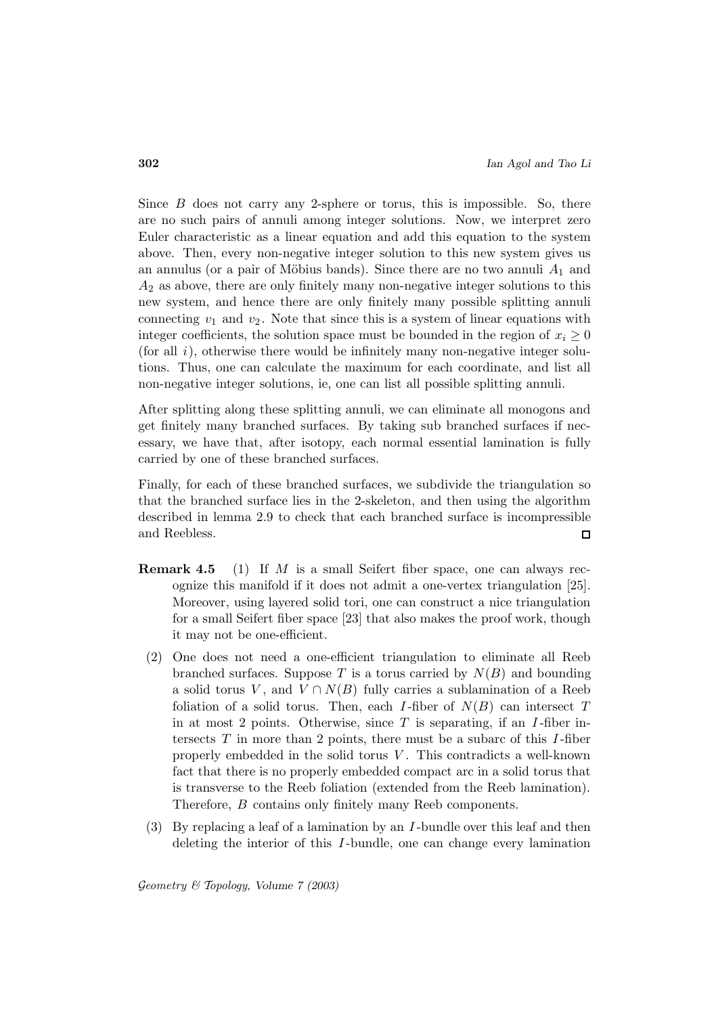Since  $B$  does not carry any 2-sphere or torus, this is impossible. So, there are no such pairs of annuli among integer solutions. Now, we interpret zero Euler characteristic as a linear equation and add this equation to the system above. Then, every non-negative integer solution to this new system gives us an annulus (or a pair of Möbius bands). Since there are no two annuli  $A_1$  and  $A_2$  as above, there are only finitely many non-negative integer solutions to this new system, and hence there are only finitely many possible splitting annuli connecting  $v_1$  and  $v_2$ . Note that since this is a system of linear equations with integer coefficients, the solution space must be bounded in the region of  $x_i \geq 0$ (for all  $i$ ), otherwise there would be infinitely many non-negative integer solutions. Thus, one can calculate the maximum for each coordinate, and list all non-negative integer solutions, ie, one can list all possible splitting annuli.

After splitting along these splitting annuli, we can eliminate all monogons and get finitely many branched surfaces. By taking sub branched surfaces if necessary, we have that, after isotopy, each normal essential lamination is fully carried by one of these branched surfaces.

Finally, for each of these branched surfaces, we subdivide the triangulation so that the branched surface lies in the 2-skeleton, and then using the algorithm described in lemma 2.9 to check that each branched surface is incompressible and Reebless.  $\Box$ 

- **Remark 4.5** (1) If M is a small Seifert fiber space, one can always recognize this manifold if it does not admit a one-vertex triangulation [25]. Moreover, using layered solid tori, one can construct a nice triangulation for a small Seifert fiber space [23] that also makes the proof work, though it may not be one-efficient.
	- (2) One does not need a one-efficient triangulation to eliminate all Reeb branched surfaces. Suppose T is a torus carried by  $N(B)$  and bounding a solid torus V, and  $V \cap N(B)$  fully carries a sublamination of a Reeb foliation of a solid torus. Then, each I-fiber of  $N(B)$  can intersect T in at most 2 points. Otherwise, since  $T$  is separating, if an  $I$ -fiber intersects  $T$  in more than 2 points, there must be a subarc of this  $I$ -fiber properly embedded in the solid torus  $V$ . This contradicts a well-known fact that there is no properly embedded compact arc in a solid torus that is transverse to the Reeb foliation (extended from the Reeb lamination). Therefore, B contains only finitely many Reeb components.
	- (3) By replacing a leaf of a lamination by an I -bundle over this leaf and then deleting the interior of this I -bundle, one can change every lamination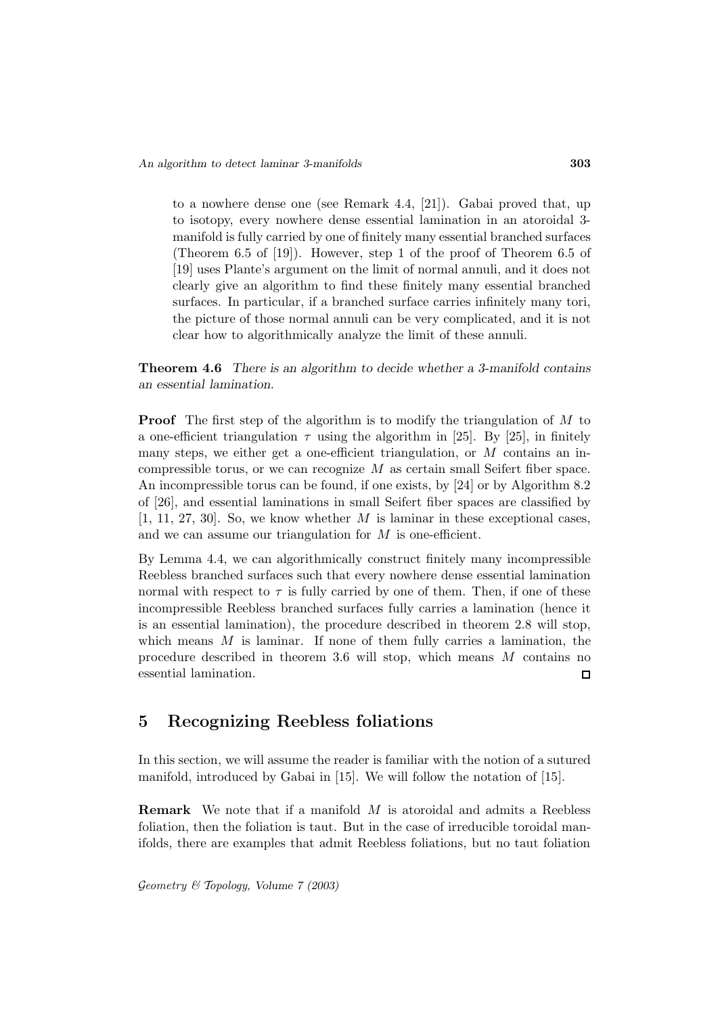to a nowhere dense one (see Remark 4.4, [21]). Gabai proved that, up to isotopy, every nowhere dense essential lamination in an atoroidal 3 manifold is fully carried by one of finitely many essential branched surfaces (Theorem 6.5 of [19]). However, step 1 of the proof of Theorem 6.5 of [19] uses Plante's argument on the limit of normal annuli, and it does not clearly give an algorithm to find these finitely many essential branched surfaces. In particular, if a branched surface carries infinitely many tori, the picture of those normal annuli can be very complicated, and it is not clear how to algorithmically analyze the limit of these annuli.

**Theorem 4.6** *There is an algorithm to decide whether a 3-manifold contains an essential lamination.*

**Proof** The first step of the algorithm is to modify the triangulation of M to a one-efficient triangulation  $\tau$  using the algorithm in [25]. By [25], in finitely many steps, we either get a one-efficient triangulation, or  $M$  contains an incompressible torus, or we can recognize  $M$  as certain small Seifert fiber space. An incompressible torus can be found, if one exists, by [24] or by Algorithm 8.2 of [26], and essential laminations in small Seifert fiber spaces are classified by  $[1, 11, 27, 30]$ . So, we know whether M is laminar in these exceptional cases, and we can assume our triangulation for  $M$  is one-efficient.

By Lemma 4.4, we can algorithmically construct finitely many incompressible Reebless branched surfaces such that every nowhere dense essential lamination normal with respect to  $\tau$  is fully carried by one of them. Then, if one of these incompressible Reebless branched surfaces fully carries a lamination (hence it is an essential lamination), the procedure described in theorem 2.8 will stop, which means  $M$  is laminar. If none of them fully carries a lamination, the procedure described in theorem 3.6 will stop, which means M contains no essential lamination.  $\Box$ 

## **5 Recognizing Reebless foliations**

In this section, we will assume the reader is familiar with the notion of a sutured manifold, introduced by Gabai in [15]. We will follow the notation of [15].

**Remark** We note that if a manifold M is atoroidal and admits a Reebless foliation, then the foliation is taut. But in the case of irreducible toroidal manifolds, there are examples that admit Reebless foliations, but no taut foliation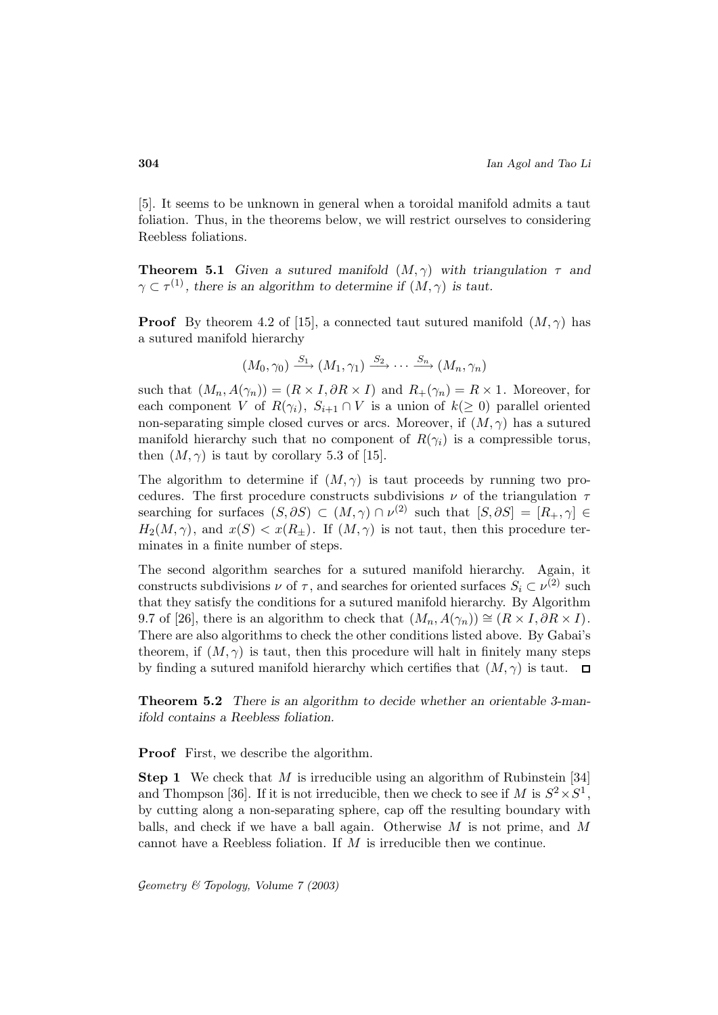[5]. It seems to be unknown in general when a toroidal manifold admits a taut foliation. Thus, in the theorems below, we will restrict ourselves to considering Reebless foliations.

**Theorem 5.1** *Given a sutured manifold*  $(M, \gamma)$  *with triangulation*  $\tau$  *and*  $\gamma \subset \tau^{(1)}$ , there is an algorithm to determine if  $(M, \gamma)$  is taut.

**Proof** By theorem 4.2 of [15], a connected taut sutured manifold  $(M, \gamma)$  has a sutured manifold hierarchy

$$
(M_0, \gamma_0) \xrightarrow{S_1} (M_1, \gamma_1) \xrightarrow{S_2} \cdots \xrightarrow{S_n} (M_n, \gamma_n)
$$

such that  $(M_n, A(\gamma_n)) = (R \times I, \partial R \times I)$  and  $R_+(\gamma_n) = R \times 1$ . Moreover, for each component V of  $R(\gamma_i)$ ,  $S_{i+1} \cap V$  is a union of  $k(\geq 0)$  parallel oriented non-separating simple closed curves or arcs. Moreover, if  $(M, \gamma)$  has a sutured manifold hierarchy such that no component of  $R(\gamma_i)$  is a compressible torus, then  $(M, \gamma)$  is taut by corollary 5.3 of [15].

The algorithm to determine if  $(M, \gamma)$  is taut proceeds by running two procedures. The first procedure constructs subdivisions  $\nu$  of the triangulation  $\tau$ searching for surfaces  $(S, \partial S) \subset (M, \gamma) \cap \nu^{(2)}$  such that  $[S, \partial S] = [R_+, \gamma] \in$  $H_2(M, \gamma)$ , and  $x(S) < x(R_+)$ . If  $(M, \gamma)$  is not taut, then this procedure terminates in a finite number of steps.

The second algorithm searches for a sutured manifold hierarchy. Again, it constructs subdivisions  $\nu$  of  $\tau$ , and searches for oriented surfaces  $S_i \subset \nu^{(2)}$  such that they satisfy the conditions for a sutured manifold hierarchy. By Algorithm 9.7 of [26], there is an algorithm to check that  $(M_n, A(\gamma_n)) \cong (R \times I, \partial R \times I)$ . There are also algorithms to check the other conditions listed above. By Gabai's theorem, if  $(M, \gamma)$  is taut, then this procedure will halt in finitely many steps by finding a sutured manifold hierarchy which certifies that  $(M, \gamma)$  is taut.  $\square$ 

**Theorem 5.2** *There is an algorithm to decide whether an orientable 3-manifold contains a Reebless foliation.*

**Proof** First, we describe the algorithm.

**Step 1** We check that M is irreducible using an algorithm of Rubinstein [34] and Thompson [36]. If it is not irreducible, then we check to see if M is  $S^2 \times S^1$ , by cutting along a non-separating sphere, cap off the resulting boundary with balls, and check if we have a ball again. Otherwise  $M$  is not prime, and  $M$ cannot have a Reebless foliation. If  $M$  is irreducible then we continue.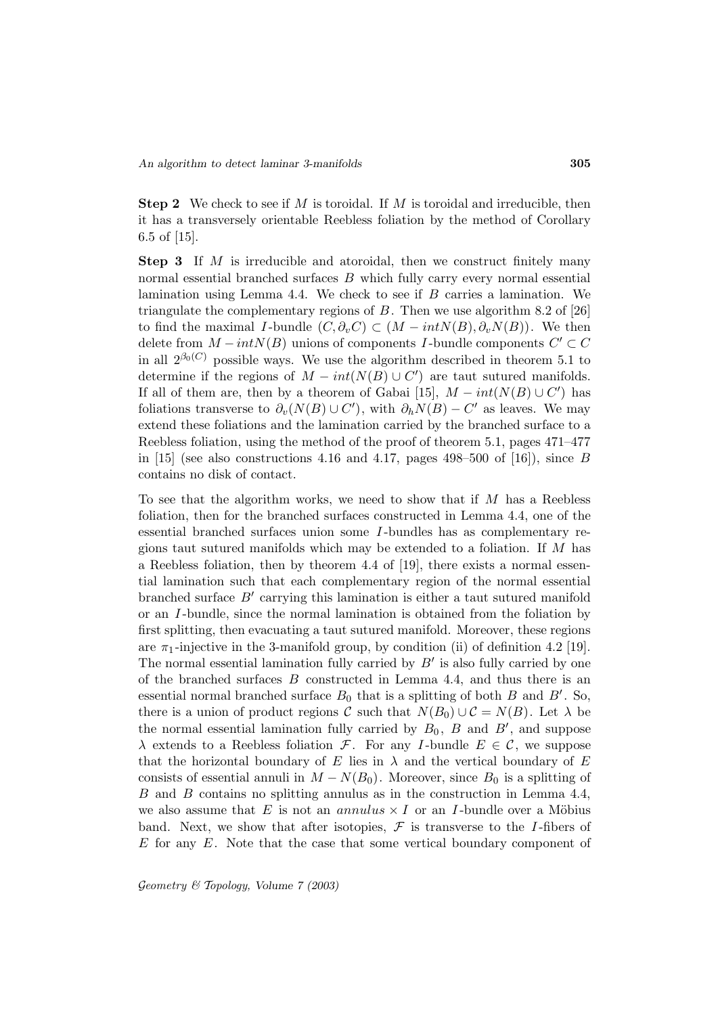**Step 2** We check to see if M is toroidal. If M is toroidal and irreducible, then it has a transversely orientable Reebless foliation by the method of Corollary 6.5 of [15].

**Step 3** If M is irreducible and atoroidal, then we construct finitely many normal essential branched surfaces  $B$  which fully carry every normal essential lamination using Lemma 4.4. We check to see if  $B$  carries a lamination. We triangulate the complementary regions of  $B$ . Then we use algorithm 8.2 of [26] to find the maximal I-bundle  $(C, \partial_v C) \subset (M - intN(B), \partial_v N(B))$ . We then delete from  $M - intN(B)$  unions of components I-bundle components  $C' \subset C$ in all  $2^{\beta_0(C)}$  possible ways. We use the algorithm described in theorem 5.1 to determine if the regions of  $M - int(N(B) \cup C')$  are taut sutured manifolds. If all of them are, then by a theorem of Gabai [15],  $M-int(N(B) \cup C')$  has foliations transverse to  $\partial_v(N(B) \cup C')$ , with  $\partial_h N(B) - C'$  as leaves. We may extend these foliations and the lamination carried by the branched surface to a Reebless foliation, using the method of the proof of theorem 5.1, pages 471–477 in [15] (see also constructions 4.16 and 4.17, pages 498–500 of [16]), since B contains no disk of contact.

To see that the algorithm works, we need to show that if M has a Reebless foliation, then for the branched surfaces constructed in Lemma 4.4, one of the essential branched surfaces union some I -bundles has as complementary regions taut sutured manifolds which may be extended to a foliation. If  $M$  has a Reebless foliation, then by theorem 4.4 of [19], there exists a normal essential lamination such that each complementary region of the normal essential branched surface  $B'$  carrying this lamination is either a taut sutured manifold or an I -bundle, since the normal lamination is obtained from the foliation by first splitting, then evacuating a taut sutured manifold. Moreover, these regions are  $\pi_1$ -injective in the 3-manifold group, by condition (ii) of definition 4.2 [19]. The normal essential lamination fully carried by  $B'$  is also fully carried by one of the branched surfaces B constructed in Lemma 4.4, and thus there is an essential normal branched surface  $B_0$  that is a splitting of both  $B$  and  $B'$ . So, there is a union of product regions C such that  $N(B_0) \cup C = N(B)$ . Let  $\lambda$  be the normal essential lamination fully carried by  $B_0$ ,  $B$  and  $B'$ , and suppose  $\lambda$  extends to a Reebless foliation F. For any I-bundle  $E \in \mathcal{C}$ , we suppose that the horizontal boundary of E lies in  $\lambda$  and the vertical boundary of E consists of essential annuli in  $M - N(B_0)$ . Moreover, since  $B_0$  is a splitting of B and B contains no splitting annulus as in the construction in Lemma 4.4, we also assume that E is not an annulus  $\times I$  or an I-bundle over a Möbius band. Next, we show that after isotopies,  $\mathcal F$  is transverse to the *I*-fibers of  $E$  for any  $E$ . Note that the case that some vertical boundary component of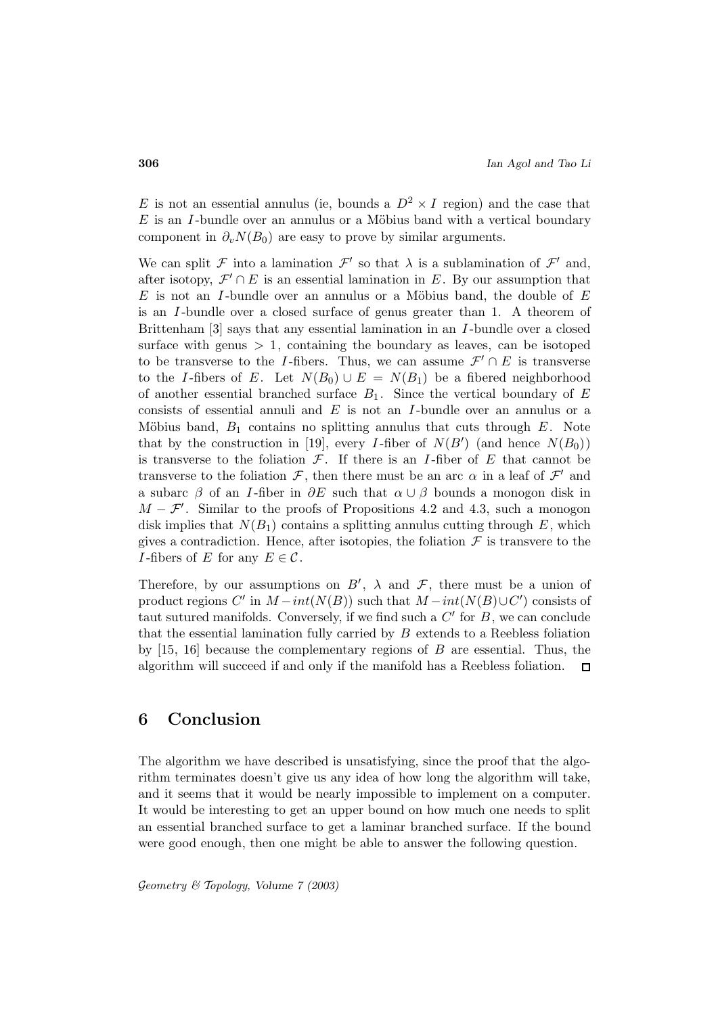E is not an essential annulus (ie, bounds a  $D^2 \times I$  region) and the case that  $E$  is an I-bundle over an annulus or a Möbius band with a vertical boundary component in  $\partial_v N(B_0)$  are easy to prove by similar arguments.

We can split F into a lamination  $\mathcal{F}'$  so that  $\lambda$  is a sublamination of  $\mathcal{F}'$  and, after isotopy,  $\mathcal{F}' \cap E$  is an essential lamination in E. By our assumption that E is not an I-bundle over an annulus or a Möbius band, the double of  $E$ is an I -bundle over a closed surface of genus greater than 1. A theorem of Brittenham [3] says that any essential lamination in an I -bundle over a closed surface with genus  $> 1$ , containing the boundary as leaves, can be isotoped to be transverse to the I-fibers. Thus, we can assume  $\mathcal{F}' \cap E$  is transverse to the I-fibers of E. Let  $N(B_0) \cup E = N(B_1)$  be a fibered neighborhood of another essential branched surface  $B_1$ . Since the vertical boundary of E consists of essential annuli and  $E$  is not an I-bundle over an annulus or a Möbius band,  $B_1$  contains no splitting annulus that cuts through  $E$ . Note that by the construction in [19], every *I*-fiber of  $N(B')$  (and hence  $N(B_0)$ ) is transverse to the foliation  $\mathcal{F}$ . If there is an *I*-fiber of  $E$  that cannot be transverse to the foliation  $\mathcal F$ , then there must be an arc  $\alpha$  in a leaf of  $\mathcal F'$  and a subarc  $\beta$  of an *I*-fiber in  $\partial E$  such that  $\alpha \cup \beta$  bounds a monogon disk in  $M - \mathcal{F}'$ . Similar to the proofs of Propositions 4.2 and 4.3, such a monogon disk implies that  $N(B_1)$  contains a splitting annulus cutting through E, which gives a contradiction. Hence, after isotopies, the foliation  $\mathcal F$  is transvere to the *I*-fibers of E for any  $E \in \mathcal{C}$ .

Therefore, by our assumptions on  $B'$ ,  $\lambda$  and  $\mathcal{F}$ , there must be a union of product regions  $C'$  in  $M - int(N(B))$  such that  $M - int(N(B) \cup C')$  consists of taut sutured manifolds. Conversely, if we find such a  $C'$  for  $B$ , we can conclude that the essential lamination fully carried by  $B$  extends to a Reebless foliation by  $[15, 16]$  because the complementary regions of B are essential. Thus, the algorithm will succeed if and only if the manifold has a Reebless foliation.  $\Box$ 

# **6 Conclusion**

The algorithm we have described is unsatisfying, since the proof that the algorithm terminates doesn't give us any idea of how long the algorithm will take, and it seems that it would be nearly impossible to implement on a computer. It would be interesting to get an upper bound on how much one needs to split an essential branched surface to get a laminar branched surface. If the bound were good enough, then one might be able to answer the following question.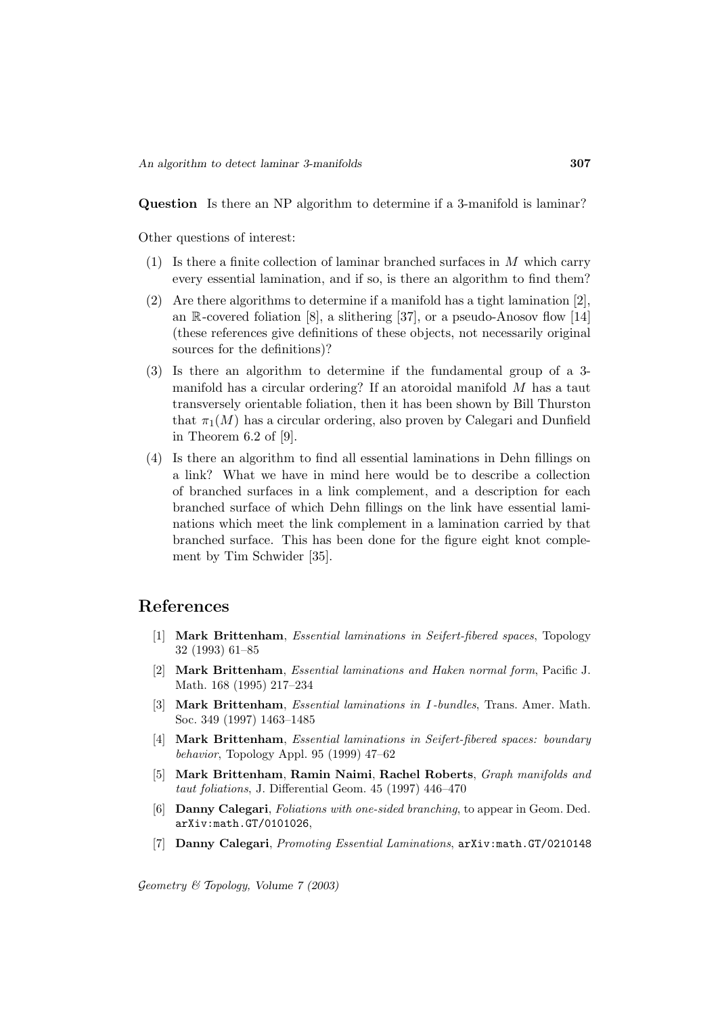**Question** Is there an NP algorithm to determine if a 3-manifold is laminar?

Other questions of interest:

- $(1)$  Is there a finite collection of laminar branched surfaces in M which carry every essential lamination, and if so, is there an algorithm to find them?
- (2) Are there algorithms to determine if a manifold has a tight lamination [2], an  $\mathbb{R}$ -covered foliation [8], a slithering [37], or a pseudo-Anosov flow [14] (these references give definitions of these objects, not necessarily original sources for the definitions)?
- (3) Is there an algorithm to determine if the fundamental group of a 3 manifold has a circular ordering? If an atoroidal manifold M has a taut transversely orientable foliation, then it has been shown by Bill Thurston that  $\pi_1(M)$  has a circular ordering, also proven by Calegari and Dunfield in Theorem 6.2 of [9].
- (4) Is there an algorithm to find all essential laminations in Dehn fillings on a link? What we have in mind here would be to describe a collection of branched surfaces in a link complement, and a description for each branched surface of which Dehn fillings on the link have essential laminations which meet the link complement in a lamination carried by that branched surface. This has been done for the figure eight knot complement by Tim Schwider [35].

### **References**

- [1] **Mark Brittenham**, Essential laminations in Seifert-fibered spaces, Topology 32 (1993) 61–85
- [2] **Mark Brittenham**, Essential laminations and Haken normal form, Pacific J. Math. 168 (1995) 217–234
- [3] **Mark Brittenham**, Essential laminations in I -bundles, Trans. Amer. Math. Soc. 349 (1997) 1463–1485
- [4] **Mark Brittenham**, Essential laminations in Seifert-fibered spaces: boundary behavior, Topology Appl. 95 (1999) 47–62
- [5] **Mark Brittenham**, **Ramin Naimi**, **Rachel Roberts**, Graph manifolds and taut foliations, J. Differential Geom. 45 (1997) 446–470
- [6] **Danny Calegari**, Foliations with one-sided branching, to appear in Geom. Ded. arXiv:math.GT/0101026,
- [7] **Danny Calegari**, Promoting Essential Laminations, arXiv:math.GT/0210148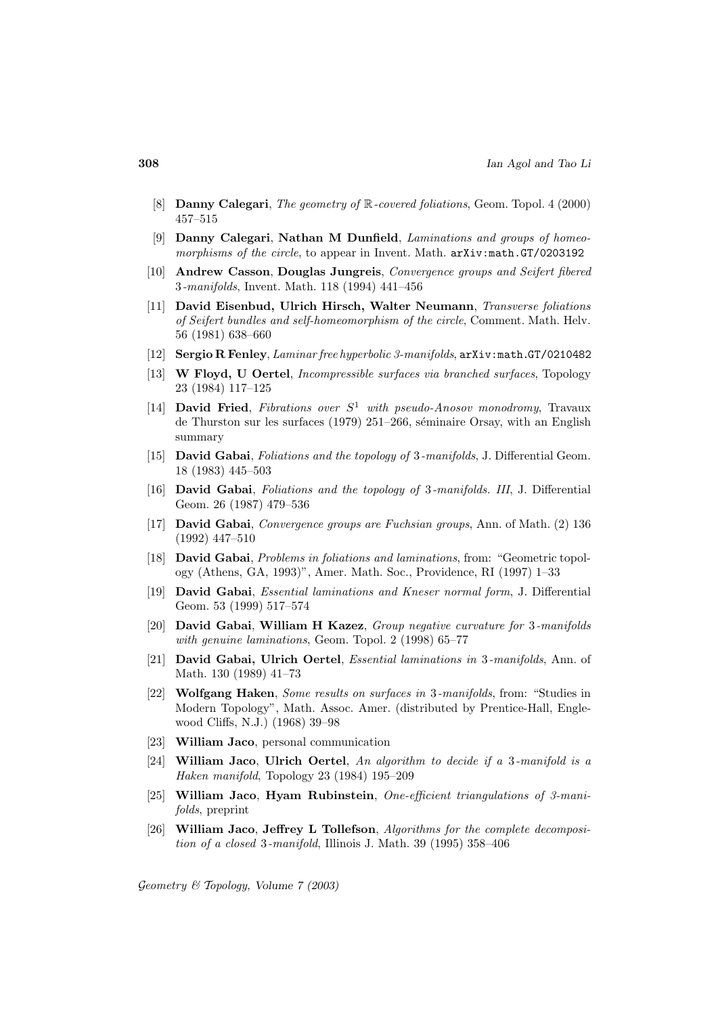- [8] **Danny Calegari**, The geometry of R-covered foliations, Geom. Topol. 4 (2000) 457–515
- [9] **Danny Calegari**, **Nathan M Dunfield**, Laminations and groups of homeomorphisms of the circle, to appear in Invent. Math.  $arXiv:math.GT/0203192$
- [10] **Andrew Casson**, **Douglas Jungreis**, Convergence groups and Seifert fibered 3-manifolds, Invent. Math. 118 (1994) 441–456
- [11] **David Eisenbud, Ulrich Hirsch, Walter Neumann**, Transverse foliations of Seifert bundles and self-homeomorphism of the circle, Comment. Math. Helv. 56 (1981) 638–660
- [12] **Sergio R Fenley**, Laminar free hyperbolic 3-manifolds, arXiv:math.GT/0210482
- [13] **W Floyd, U Oertel**, Incompressible surfaces via branched surfaces, Topology 23 (1984) 117–125
- [14] **David Fried**, Fibrations over  $S^1$  with pseudo-Anosov monodromy, Travaux de Thurston sur les surfaces  $(1979)$  251–266, séminaire Orsay, with an English summary
- [15] **David Gabai**, Foliations and the topology of 3-manifolds, J. Differential Geom. 18 (1983) 445–503
- [16] **David Gabai**, Foliations and the topology of 3-manifolds. III, J. Differential Geom. 26 (1987) 479–536
- [17] **David Gabai**, Convergence groups are Fuchsian groups, Ann. of Math. (2) 136 (1992) 447–510
- [18] **David Gabai**, Problems in foliations and laminations, from: "Geometric topology (Athens, GA, 1993)", Amer. Math. Soc., Providence, RI (1997) 1–33
- [19] **David Gabai**, Essential laminations and Kneser normal form, J. Differential Geom. 53 (1999) 517–574
- [20] **David Gabai**, **William H Kazez**, Group negative curvature for 3-manifolds with genuine laminations, Geom. Topol. 2 (1998) 65–77
- [21] **David Gabai, Ulrich Oertel**, Essential laminations in 3-manifolds, Ann. of Math. 130 (1989) 41–73
- [22] **Wolfgang Haken**, Some results on surfaces in 3-manifolds, from: "Studies in Modern Topology", Math. Assoc. Amer. (distributed by Prentice-Hall, Englewood Cliffs, N.J.) (1968) 39–98
- [23] **William Jaco**, personal communication
- [24] **William Jaco**, **Ulrich Oertel**, An algorithm to decide if a 3-manifold is a Haken manifold, Topology 23 (1984) 195–209
- [25] **William Jaco**, **Hyam Rubinstein**, One-efficient triangulations of 3-manifolds, preprint
- [26] **William Jaco**, **Jeffrey L Tollefson**, Algorithms for the complete decomposition of a closed 3-manifold, Illinois J. Math. 39 (1995) 358–406